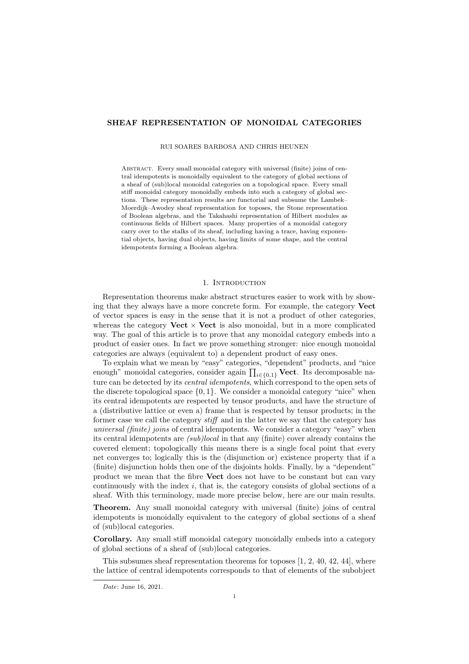# SHEAF REPRESENTATION OF MONOIDAL CATEGORIES

RUI SOARES BARBOSA AND CHRIS HEUNEN

Abstract. Every small monoidal category with universal (finite) joins of central idempotents is monoidally equivalent to the category of global sections of a sheaf of (sub)local monoidal categories on a topological space. Every small stiff monoidal category monoidally embeds into such a category of global sections. These representation results are functorial and subsume the Lambek– Moerdijk–Awodey sheaf representation for toposes, the Stone representation of Boolean algebras, and the Takahashi representation of Hilbert modules as continuous fields of Hilbert spaces. Many properties of a monoidal category carry over to the stalks of its sheaf, including having a trace, having exponential objects, having dual objects, having limits of some shape, and the central idempotents forming a Boolean algebra.

## 1. INTRODUCTION

Representation theorems make abstract structures easier to work with by showing that they always have a more concrete form. For example, the category Vect of vector spaces is easy in the sense that it is not a product of other categories, whereas the category **Vect**  $\times$  **Vect** is also monoidal, but in a more complicated way. The goal of this article is to prove that any monoidal category embeds into a product of easier ones. In fact we prove something stronger: nice enough monoidal categories are always (equivalent to) a dependent product of easy ones.

To explain what we mean by "easy" categories, "dependent" products, and "nice enough" monoidal categories, consider again  $\prod_{i \in \{0,1\}} \textbf{Vect}$ . Its decomposable nature can be detected by its *central idempotents*, which correspond to the open sets of the discrete topological space  $\{0, 1\}$ . We consider a monoidal category "nice" when its central idempotents are respected by tensor products, and have the structure of a (distributive lattice or even a) frame that is respected by tensor products; in the former case we call the category stiff and in the latter we say that the category has universal (finite) joins of central idempotents. We consider a category "easy" when its central idempotents are (sub)local in that any (finite) cover already contains the covered element; topologically this means there is a single focal point that every net converges to; logically this is the (disjunction or) existence property that if a (finite) disjunction holds then one of the disjoints holds. Finally, by a "dependent" product we mean that the fibre Vect does not have to be constant but can vary continuously with the index  $i$ , that is, the category consists of global sections of a sheaf. With this terminology, made more precise below, here are our main results.

Theorem. Any small monoidal category with universal (finite) joins of central idempotents is monoidally equivalent to the category of global sections of a sheaf of (sub)local categories.

Corollary. Any small stiff monoidal category monoidally embeds into a category of global sections of a sheaf of (sub)local categories.

This subsumes sheaf representation theorems for toposes [\[1,](#page-35-0) [2,](#page-35-1) [40,](#page-36-0) [42,](#page-36-1) [44\]](#page-36-2), where the lattice of central idempotents corresponds to that of elements of the subobject

Date: June 16, 2021.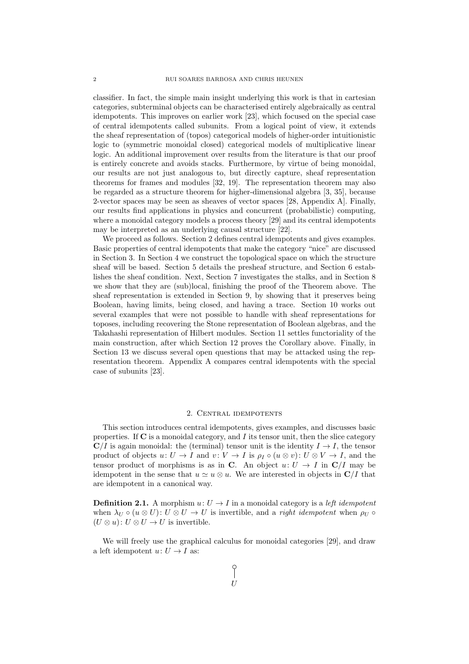classifier. In fact, the simple main insight underlying this work is that in cartesian categories, subterminal objects can be characterised entirely algebraically as central idempotents. This improves on earlier work [\[23\]](#page-36-3), which focused on the special case of central idempotents called subunits. From a logical point of view, it extends the sheaf representation of (topos) categorical models of higher-order intuitionistic logic to (symmetric monoidal closed) categorical models of multiplicative linear logic. An additional improvement over results from the literature is that our proof is entirely concrete and avoids stacks. Furthermore, by virtue of being monoidal, our results are not just analogous to, but directly capture, sheaf representation theorems for frames and modules [\[32,](#page-36-4) [19\]](#page-36-5). The representation theorem may also be regarded as a structure theorem for higher-dimensional algebra [\[3,](#page-35-2) [35\]](#page-36-6), because 2-vector spaces may be seen as sheaves of vector spaces [\[28,](#page-36-7) Appendix A]. Finally, our results find applications in physics and concurrent (probabilistic) computing, where a monoidal category models a process theory [\[29\]](#page-36-8) and its central idempotents may be interpreted as an underlying causal structure [\[22\]](#page-36-9).

We proceed as follows. Section [2](#page-1-0) defines central idempotents and gives examples. Basic properties of central idempotents that make the category "nice" are discussed in Section [3.](#page-7-0) In Section [4](#page-10-0) we construct the topological space on which the structure sheaf will be based. Section [5](#page-10-1) details the presheaf structure, and Section [6](#page-14-0) establishes the sheaf condition. Next, Section [7](#page-17-0) investigates the stalks, and in Section [8](#page-20-0) we show that they are (sub)local, finishing the proof of the Theorem above. The sheaf representation is extended in Section [9,](#page-21-0) by showing that it preserves being Boolean, having limits, being closed, and having a trace. Section [10](#page-25-0) works out several examples that were not possible to handle with sheaf representations for toposes, including recovering the Stone representation of Boolean algebras, and the Takahashi representation of Hilbert modules. Section [11](#page-27-0) settles functoriality of the main construction, after which Section [12](#page-29-0) proves the Corollary above. Finally, in Section [13](#page-34-0) we discuss several open questions that may be attacked using the representation theorem. Appendix [A](#page-37-0) compares central idempotents with the special case of subunits [\[23\]](#page-36-3).

# 2. Central idempotents

<span id="page-1-0"></span>This section introduces central idempotents, gives examples, and discusses basic properties. If  $C$  is a monoidal category, and  $I$  its tensor unit, then the slice category  $C/I$  is again monoidal: the (terminal) tensor unit is the identity  $I \rightarrow I$ , the tensor product of objects  $u: U \to I$  and  $v: V \to I$  is  $\rho_I \circ (u \otimes v): U \otimes V \to I$ , and the tensor product of morphisms is as in C. An object  $u: U \to I$  in  $C/I$  may be idempotent in the sense that  $u \simeq u \otimes u$ . We are interested in objects in  $\mathbb{C}/I$  that are idempotent in a canonical way.

**Definition 2.1.** A morphism  $u: U \to I$  in a monoidal category is a *left idempotent* when  $\lambda_U \circ (u \otimes U) : U \otimes U \to U$  is invertible, and a *right idempotent* when  $\rho_U \circ$  $(U \otimes u): U \otimes U \to U$  is invertible.

We will freely use the graphical calculus for monoidal categories [\[29\]](#page-36-8), and draw a left idempotent  $u: U \to I$  as: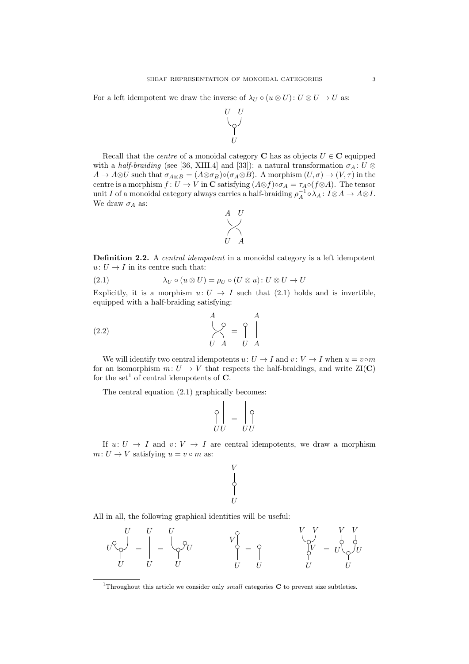For a left idempotent we draw the inverse of  $\lambda_U \circ (u \otimes U): U \otimes U \to U$  as:



Recall that the *centre* of a monoidal category **C** has as objects  $U \in \mathbb{C}$  equipped with a half-braiding (see [\[36,](#page-36-10) XIII.4] and [\[33\]](#page-36-11)): a natural transformation  $\sigma_A: U \otimes$  $A \to A \otimes U$  such that  $\sigma_{A \otimes B} = (A \otimes \sigma_B) \circ (\sigma_A \otimes B)$ . A morphism  $(U, \sigma) \to (V, \tau)$  in the centre is a morphism  $f: U \to V$  in C satisfying  $(A \otimes f) \circ \sigma_A = \tau_A \circ (f \otimes A)$ . The tensor unit I of a monoidal category always carries a half-braiding  $\rho_A^{-1} \circ \lambda_A : I \otimes A \to A \otimes I$ . We draw  $\sigma_A$  as:



Definition 2.2. A *central idempotent* in a monoidal category is a left idempotent  $u: U \to I$  in its centre such that:

<span id="page-2-0"></span>(2.1) 
$$
\lambda_U \circ (u \otimes U) = \rho_U \circ (U \otimes u) : U \otimes U \to U
$$

Explicitly, it is a morphism  $u: U \rightarrow I$  such that [\(2.1\)](#page-2-0) holds and is invertible, equipped with a half-braiding satisfying:

$$
\begin{array}{c}\nA \\
\downarrow \circ \\
U A\n\end{array} = \begin{array}{c}\nA \\
\downarrow \\
U A\n\end{array}
$$

We will identify two central idempotents  $u: U \to I$  and  $v: V \to I$  when  $u = v \circ m$ for an isomorphism  $m: U \to V$  that respects the half-braidings, and write  $ZI(C)$ for the set<sup>[1](#page-2-1)</sup> of central idempotents of  $C$ .

The central equation [\(2.1\)](#page-2-0) graphically becomes:

$$
\begin{bmatrix} \varphi \\ UU \end{bmatrix} = \begin{bmatrix} \varphi \\ UU \end{bmatrix}
$$

 $\sim$  1

<span id="page-2-2"></span> $\mathbf{L}$ 

If  $u: U \to I$  and  $v: V \to I$  are central idempotents, we draw a morphism  $m: U \to V$  satisfying  $u = v \circ m$  as:

V

 $\frac{1}{\sqrt{2}}$ 

U





<span id="page-2-1"></span><sup>&</sup>lt;sup>1</sup>Throughout this article we consider only *small* categories  $C$  to prevent size subtleties.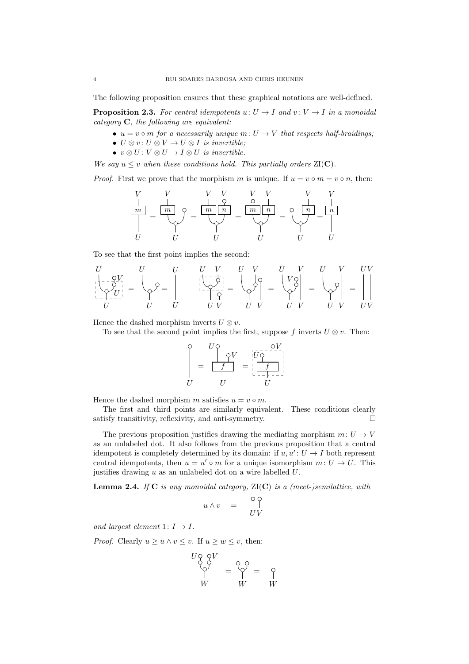The following proposition ensures that these graphical notations are well-defined.

**Proposition 2.3.** For central idempotents  $u: U \rightarrow I$  and  $v: V \rightarrow I$  in a monoidal category C, the following are equivalent:

- $u = v \circ m$  for a necessarily unique  $m: U \to V$  that respects half-braidings;
- $U \otimes v : U \otimes V \rightarrow U \otimes I$  is invertible;
- $v \otimes U : V \otimes U \rightarrow I \otimes U$  is invertible.

We say  $u \leq v$  when these conditions hold. This partially orders  $ZI(C)$ .

*Proof.* First we prove that the morphism m is unique. If  $u = v \circ m = v \circ n$ , then:

$$
\frac{V}{\left\lfloor \frac{m}{m} \right\rfloor} = \frac{\left\lfloor \frac{m}{m} \right\rfloor}{\left\lfloor \frac{m}{m} \right\rfloor} \mathcal{O} = \frac{\left\lfloor \frac{m}{m} \right\rfloor \left\lfloor \frac{n}{m} \right\rfloor}{\left\lfloor \frac{m}{m} \right\rfloor} = \frac{\mathcal{O}}{\left\lfloor \frac{n}{m} \right\rfloor} = \frac{\mathcal{O}}{\left\lfloor \frac{n}{m} \right\rfloor} = \frac{\left\lfloor \frac{n}{m} \right\rfloor}{\left\lfloor \frac{n}{m} \right\rfloor} = \frac{\left\lfloor \frac{n}{m} \right\rfloor}{\left\lfloor \frac{n}{m} \right\rfloor} = \frac{\left\lfloor \frac{n}{m} \right\rfloor}{\left\lfloor \frac{n}{m} \right\rfloor} = \frac{\left\lfloor \frac{n}{m} \right\rfloor}{\left\lfloor \frac{n}{m} \right\rfloor} = \frac{\left\lfloor \frac{n}{m} \right\rfloor}{\left\lfloor \frac{n}{m} \right\rfloor} = \frac{\left\lfloor \frac{n}{m} \right\rfloor}{\left\lfloor \frac{n}{m} \right\rfloor} = \frac{\left\lfloor \frac{n}{m} \right\rfloor}{\left\lfloor \frac{n}{m} \right\rfloor} = \frac{\left\lfloor \frac{n}{m} \right\rfloor}{\left\lfloor \frac{n}{m} \right\rfloor} = \frac{\left\lfloor \frac{n}{m} \right\rfloor}{\left\lfloor \frac{n}{m} \right\rfloor} = \frac{\left\lfloor \frac{n}{m} \right\rfloor}{\left\lfloor \frac{n}{m} \right\rfloor} = \frac{\left\lfloor \frac{n}{m} \right\rfloor}{\left\lfloor \frac{n}{m} \right\rfloor} = \frac{\left\lfloor \frac{n}{m} \right\rfloor}{\left\lfloor \frac{n}{m} \right\rfloor} = \frac{\left\lfloor \frac{n}{m} \right\rfloor}{\left\lfloor \frac{n}{m} \right\rfloor} = \frac{\left\lfloor \frac{n}{m} \right\rfloor}{\left\lfloor \frac{n}{m} \right\rfloor} = \frac{\left\lfloor \frac{n}{m} \right\rfloor}{\left\lfloor \frac{n}{m} \right\rfloor} = \frac{\left\lfloor \frac{n}{m} \right\rfloor}{\left\lfloor \frac{n}{m
$$

To see that the first point implies the second:

$$
\begin{bmatrix} U & U & U & V & U & V & U & V & UV \\ \left\langle -\frac{\mathcal{Q}V}{\mathcal{Q}U} \right\rangle &= \begin{bmatrix} U & U & U & V & U & V & U & V & UV \\ \mathcal{Q} & U & U & U & U & V & U & V & U & V \end{bmatrix} = \begin{bmatrix} V & U & V & U & V & UV \\ \left\langle \begin{bmatrix} \mathcal{Q} \\ \mathcal{Q} \\ \mathcal{Q} \\ \mathcal{Q} \end{bmatrix} \right\rangle &= \begin{bmatrix} V & Q \\ \left\langle \begin{bmatrix} \mathcal{Q} \\ \mathcal{Q} \\ \mathcal{Q} \\ \mathcal{Q} \end{bmatrix} \right\rangle &= \begin{bmatrix} V & U & V & UV & UV \\ \left\langle \begin{bmatrix} \mathcal{Q} \\ \mathcal{Q} \\ \mathcal{Q} \\ \mathcal{Q} \\ \mathcal{Q} \end{bmatrix} \right\rangle &= \begin{bmatrix} V & U & V & UV & UV \\ \left\langle \begin{bmatrix} \mathcal{Q} \\ \mathcal{Q} \\ \mathcal{Q} \\ \mathcal{Q} \\ \mathcal{Q} \end{bmatrix} \right\rangle &= \begin{bmatrix} V & U & V & UV & UV \\ \left\langle \begin{bmatrix} \mathcal{Q} \\ \mathcal{Q} \\ \mathcal{Q} \\ \mathcal{Q} \\ \mathcal{Q} \end{bmatrix} \right\rangle &= \begin{bmatrix} V & U & V & UV & UV \\ \left\langle \begin{bmatrix} \mathcal{Q} \\ \mathcal{Q} \\ \mathcal{Q} \\ \mathcal{Q} \\ \mathcal{Q} \\ \mathcal{Q} \end{bmatrix} \right\rangle &= \begin{bmatrix} V & U & V & UV & UV \\ \left\langle \begin{bmatrix} \mathcal{Q} \\ \mathcal{Q} \\ \mathcal{Q} \\ \mathcal{Q} \\ \mathcal{Q} \end{bmatrix} \right\rangle &= \begin{bmatrix} V & U & V & UV \\ \left\langle \begin{bmatrix} \mathcal{Q} \\ \mathcal{
$$

Hence the dashed morphism inverts  $U \otimes v$ .

To see that the second point implies the first, suppose f inverts  $U \otimes v$ . Then:

$$
\begin{array}{c}\n0 \\
\downarrow \\
U\n\end{array} = \begin{array}{c}\nU_0 \\
\downarrow \\
\downarrow \\
U\n\end{array} = \begin{array}{c}\n\downarrow \\
\downarrow \\
\downarrow \\
U\n\end{array} = \begin{array}{c}\n\downarrow \\
\downarrow \\
\downarrow \\
U\n\end{array} = \begin{array}{c}\n\downarrow \\
\downarrow \\
\downarrow \\
U\n\end{array}
$$

Hence the dashed morphism m satisfies  $u = v \circ m$ .

The first and third points are similarly equivalent. These conditions clearly satisfy transitivity, reflexivity, and anti-symmetry.  $\Box$ 

The previous proposition justifies drawing the mediating morphism  $m: U \to V$ as an unlabeled dot. It also follows from the previous proposition that a central idempotent is completely determined by its domain: if  $u, u' : U \to I$  both represent central idempotents, then  $u = u' \circ m$  for a unique isomorphism  $m: U \to U$ . This justifies drawing  $u$  as an unlabeled dot on a wire labelled  $U$ .

**Lemma 2.4.** If  $C$  is any monoidal category,  $ZI(C)$  is a (meet-)semilattice, with

$$
u \wedge v = \begin{array}{c} \uparrow \circ \\ \uparrow \end{array} \begin{array}{c} \uparrow \\ UV \end{array}
$$

and largest element  $1: I \rightarrow I$ .

*Proof.* Clearly  $u \geq u \wedge v \leq v$ . If  $u \geq w \leq v$ , then:

$$
\begin{array}{c}\nU \circ \circ V \\
\circ \circ \\
V\n\end{array} = \begin{array}{c}\n\circ \circ \\
\circ \\
V\n\end{array} = \begin{array}{c}\n\circ \\
\circ \\
V\n\end{array}
$$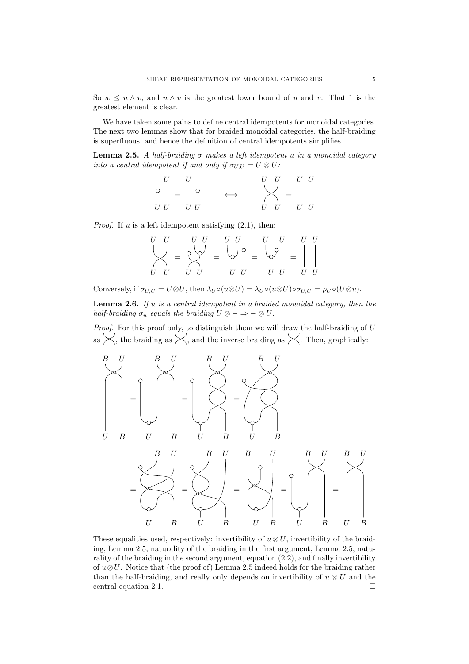So  $w \leq u \wedge v$ , and  $u \wedge v$  is the greatest lower bound of u and v. That 1 is the greatest element is clear.

We have taken some pains to define central idempotents for monoidal categories. The next two lemmas show that for braided monoidal categories, the half-braiding is superfluous, and hence the definition of central idempotents simplifies.

<span id="page-4-0"></span>Lemma 2.5. A half-braiding  $\sigma$  makes a left idempotent u in a monoidal category into a central idempotent if and only if  $\sigma_{U,U} = U \otimes U$ :

$$
\begin{array}{c}\nU & U \\
\circ \\
U & U\n\end{array}\n\quad \Leftrightarrow \quad\n\begin{array}{c}\nU & U & U \\
\circ \\
U & U & U\n\end{array}
$$

*Proof.* If u is a left idempotent satisfying  $(2.1)$ , then:

$$
\begin{array}{ccc}\nU & U & U & U & U & U & U & U \\
\bigvee & & & & & & & \\
U & U & U & U & U & U & U & U & U\n\end{array} = \begin{array}{c}\nU & U & U & U & U \\
\varphi^0 & & & & & & \\
\varphi^1 & & & & & & \\
U & U & U & U & U & U & U\n\end{array}
$$

<span id="page-4-1"></span>Conversely, if  $\sigma_{U,U} = U \otimes U$ , then  $\lambda_U \circ (u \otimes U) = \lambda_U \circ (u \otimes U) \circ \sigma_{U,U} = \rho_U \circ (U \otimes u)$ .  $\Box$ **Lemma 2.6.** If  $u$  is a central idempotent in a braided monoidal category, then the half-braiding  $\sigma_u$  equals the braiding  $U \otimes - \Rightarrow - \otimes U$ .

Proof. For this proof only, to distinguish them we will draw the half-braiding of U as  $\lt$ , the braiding as  $\lt$ , and the inverse braiding as  $\lt$ . Then, graphically:



These equalities used, respectively: invertibility of  $u \otimes U$ , invertibility of the braiding, Lemma [2.5,](#page-4-0) naturality of the braiding in the first argument, Lemma [2.5,](#page-4-0) naturality of the braiding in the second argument, equation [\(2.2\)](#page-2-2), and finally invertibility of  $u\otimes U$ . Notice that (the proof of) Lemma [2.5](#page-4-0) indeed holds for the braiding rather than the half-braiding, and really only depends on invertibility of  $u \otimes U$  and the central equation [2.1.](#page-2-0)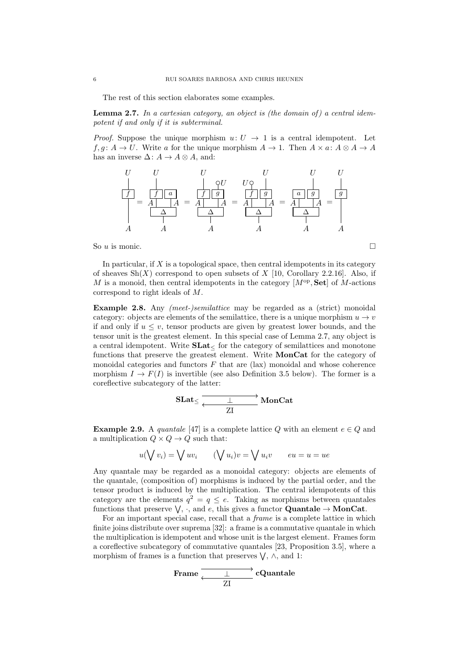The rest of this section elaborates some examples.

<span id="page-5-0"></span>**Lemma 2.7.** In a cartesian category, an object is (the domain of) a central idempotent if and only if it is subterminal.

*Proof.* Suppose the unique morphism  $u: U \rightarrow 1$  is a central idempotent. Let  $f, g: A \to U$ . Write a for the unique morphism  $A \to 1$ . Then  $A \times a: A \otimes A \to A$ has an inverse  $\Delta: A \to A \otimes A$ , and:



So u is monic.  $\Box$ 

In particular, if  $X$  is a topological space, then central idempotents in its category of sheaves  $\text{Sh}(X)$  correspond to open subsets of X [\[10,](#page-35-3) Corollary 2.2.16]. Also, if M is a monoid, then central idempotents in the category  $[M^{op}, Set]$  of M-actions correspond to right ideals of M.

<span id="page-5-2"></span>Example 2.8. Any *(meet-)semilattice* may be regarded as a *(strict)* monoidal category: objects are elements of the semilattice, there is a unique morphism  $u \to v$ if and only if  $u \leq v$ , tensor products are given by greatest lower bounds, and the tensor unit is the greatest element. In this special case of Lemma [2.7,](#page-5-0) any object is a central idempotent. Write  $SLat<sub>lt</sub>$  for the category of semilattices and monotone functions that preserve the greatest element. Write MonCat for the category of monoidal categories and functors  $F$  that are  $(\text{law})$  monoidal and whose coherence morphism  $I \to F(I)$  is invertible (see also Definition [3.5](#page-9-0) below). The former is a coreflective subcategory of the latter:

$$
\text{SLat}_{\leq} \xrightarrow[\text{ZI}]{\;\;\perp\;\; \text{MonCat}}
$$

<span id="page-5-1"></span>**Example 2.9.** A quantale [\[47\]](#page-36-12) is a complete lattice Q with an element  $e \in Q$  and a multiplication  $Q \times Q \rightarrow Q$  such that:

$$
u(\bigvee v_i) = \bigvee uv_i \qquad (\bigvee u_i)v = \bigvee u_iv \qquad eu = u = ue
$$

Any quantale may be regarded as a monoidal category: objects are elements of the quantale, (composition of) morphisms is induced by the partial order, and the tensor product is induced by the multiplication. The central idempotents of this category are the elements  $q^2 = q \leq e$ . Taking as morphisms between quantales functions that preserve  $\bigvee$ ,  $\cdot$ , and  $e$ , this gives a functor **Quantale**  $\rightarrow$  **MonCat**.

For an important special case, recall that a *frame* is a complete lattice in which finite joins distribute over suprema [\[32\]](#page-36-4): a frame is a commutative quantale in which the multiplication is idempotent and whose unit is the largest element. Frames form a coreflective subcategory of commutative quantales [\[23,](#page-36-3) Proposition 3.5], where a morphism of frames is a function that preserves  $\bigvee$ ,  $\wedge$ , and 1:

$$
\text{Frame} \xleftarrow{\perp} c\text{Quantale}
$$
\n
$$
\overline{\text{ZI}}
$$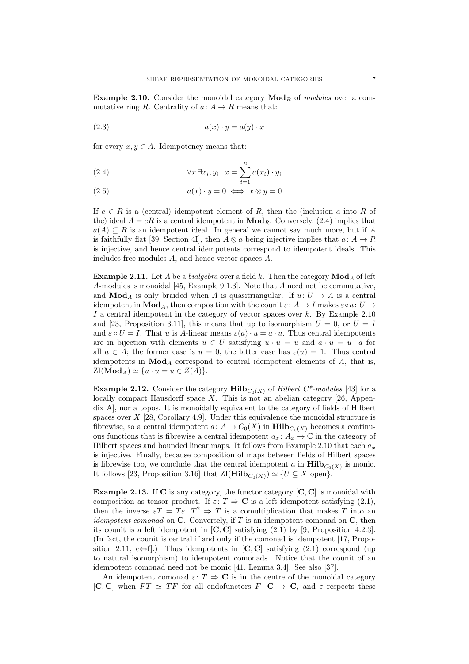<span id="page-6-1"></span>Example 2.10. Consider the monoidal category  $\mathbf{Mod}_R$  of modules over a commutative ring R. Centrality of  $a: A \to R$  means that:

$$
(2.3) \t\t a(x) \cdot y = a(y) \cdot x
$$

for every  $x, y \in A$ . Idempotency means that:

<span id="page-6-0"></span>(2.4) 
$$
\forall x \exists x_i, y_i \colon x = \sum_{i=1}^n a(x_i) \cdot y_i
$$

(2.5) 
$$
a(x) \cdot y = 0 \iff x \otimes y = 0
$$

If  $e \in R$  is a (central) idempotent element of R, then the (inclusion a into R of the) ideal  $A = eR$  is a central idempotent in  $\mathbf{Mod}_R$ . Conversely, [\(2.4\)](#page-6-0) implies that  $a(A) \subseteq R$  is an idempotent ideal. In general we cannot say much more, but if A is faithfully flat [\[39,](#page-36-13) Section 4I], then  $A \otimes a$  being injective implies that  $a: A \rightarrow R$ is injective, and hence central idempotents correspond to idempotent ideals. This includes free modules A, and hence vector spaces A.

<span id="page-6-3"></span>**Example 2.11.** Let A be a bialgebra over a field k. Then the category  $\text{Mod}_A$  of left A-modules is monoidal [\[45,](#page-36-14) Example 9.1.3]. Note that A need not be commutative, and  $\text{Mod}_A$  is only braided when A is quasitriangular. If  $u: U \to A$  is a central idempotent in  $\text{Mod}_A$ , then composition with the counit  $\varepsilon: A \to I$  makes  $\varepsilon \circ u: U \to$ I a central idempotent in the category of vector spaces over  $k$ . By Example [2.10](#page-6-1) and [\[23,](#page-36-3) Proposition 3.11], this means that up to isomorphism  $U = 0$ , or  $U = I$ and  $\varepsilon \circ U = I$ . That u is A-linear means  $\varepsilon(a) \cdot u = a \cdot u$ . Thus central idempotents are in bijection with elements  $u \in U$  satisfying  $u \cdot u = u$  and  $a \cdot u = u \cdot a$  for all  $a \in A$ ; the former case is  $u = 0$ , the latter case has  $\varepsilon(u) = 1$ . Thus central idempotents in  $\text{Mod}_A$  correspond to central idempotent elements of A, that is,  $ZI(\textbf{Mod}_A) \simeq \{u \cdot u = u \in Z(A)\}.$ 

<span id="page-6-2"></span>**Example 2.12.** Consider the category  $\text{Hilb}_{C_0(X)}$  of *Hilbert C\*-modules* [\[43\]](#page-36-15) for a locally compact Hausdorff space X. This is not an abelian category [\[26,](#page-36-16) Appendix A], nor a topos. It is monoidally equivalent to the category of fields of Hilbert spaces over  $X$  [\[28,](#page-36-7) Corollary 4.9]. Under this equivalence the monoidal structure is fibrewise, so a central idempotent  $a: A \to C_0(X)$  in  $\mathbf{Hilb}_{C_0(X)}$  becomes a continuous functions that is fibrewise a central idempotent  $a_x: A_x \to \mathbb{C}$  in the category of Hilbert spaces and bounded linear maps. It follows from Example [2.10](#page-6-1) that each  $a_x$ is injective. Finally, because composition of maps between fields of Hilbert spaces is fibrewise too, we conclude that the central idempotent a in  $\text{Hilb}_{C_0(X)}$  is monic. It follows [\[23,](#page-36-3) Proposition 3.16] that  $\mathbb{Z}[\mathbf{Hilb}_{C_0(X)}) \simeq \{U \subseteq X \text{ open}\}.$ 

<span id="page-6-4"></span>**Example 2.13.** If C is any category, the functor category  $[C, C]$  is monoidal with composition as tensor product. If  $\varepsilon: T \to \mathbf{C}$  is a left idempotent satisfying [\(2.1\)](#page-2-0), then the inverse  $\varepsilon T = T \varepsilon$ :  $T^2 \Rightarrow T$  is a comultiplication that makes T into an *idempotent comonad* on  $\bf{C}$ . Conversely, if T is an idempotent comonad on  $\bf{C}$ , then its counit is a left idempotent in  $[C, C]$  satisfying  $(2.1)$  by [\[9,](#page-35-4) Proposition 4.2.3]. (In fact, the counit is central if and only if the comonad is idempotent [\[17,](#page-36-17) Propo-sition 2.11, e⇔f].) Thus idempotents in [C, C] satisfying [\(2.1\)](#page-2-0) correspond (up to natural isomorphism) to idempotent comonads. Notice that the counit of an idempotent comonad need not be monic [\[41,](#page-36-18) Lemma 3.4]. See also [\[37\]](#page-36-19).

An idempotent comonad  $\varepsilon: T \Rightarrow \mathbf{C}$  is in the centre of the monoidal category [C, C] when  $FT \simeq TF$  for all endofunctors  $F: C \to C$ , and  $\varepsilon$  respects these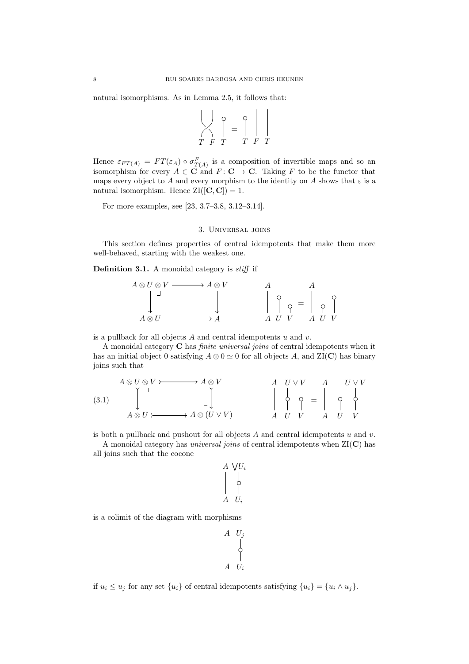natural isomorphisms. As in Lemma [2.5,](#page-4-0) it follows that:

$$
\begin{bmatrix} \cdot & \cdot & \cdot \\ \cdot & \cdot & \cdot \\ \cdot & \cdot & \cdot & \cdot \\ \cdot & \cdot & \cdot & \cdot \end{bmatrix} = \begin{bmatrix} \cdot & \cdot & \cdot \\ \cdot & \cdot & \cdot \\ \cdot & \cdot & \cdot & \cdot \\ \cdot & \cdot & \cdot & \cdot \end{bmatrix}
$$

 $\sim 10^{-11}$ 

Hence  $\varepsilon_{FT(A)} = FT(\varepsilon_A) \circ \sigma_{T(A)}^F$  is a composition of invertible maps and so an isomorphism for every  $A \in \mathbf{C}$  and  $F: \mathbf{C} \to \mathbf{C}$ . Taking F to be the functor that maps every object to A and every morphism to the identity on A shows that  $\varepsilon$  is a natural isomorphism. Hence  $\text{ZI}([\mathbf{C}, \mathbf{C}]) = 1$ .

For more examples, see [\[23,](#page-36-3) 3.7–3.8, 3.12–3.14].

## 3. Universal joins

<span id="page-7-0"></span>This section defines properties of central idempotents that make them more well-behaved, starting with the weakest one.

<span id="page-7-1"></span>Definition 3.1. A monoidal category is *stiff* if

$$
A \otimes U \otimes V \longrightarrow A \otimes V
$$
  
\n
$$
\downarrow \qquad \qquad A \otimes U
$$
  
\n
$$
A \otimes U \longrightarrow A
$$
  
\n
$$
\downarrow \qquad \qquad A \otimes U
$$
  
\n
$$
A \otimes U \longrightarrow A
$$
  
\n
$$
A \otimes U \qquad \qquad A \otimes V
$$

is a pullback for all objects  $A$  and central idempotents  $u$  and  $v$ .

A monoidal category C has finite universal joins of central idempotents when it has an initial object 0 satisfying  $A \otimes 0 \simeq 0$  for all objects A, and  $ZI(C)$  has binary joins such that

<span id="page-7-2"></span>
$$
(3.1) \quad\n\begin{array}{ccc}\nA \otimes U \otimes V & \longrightarrow A \otimes V \\
\downarrow & \searrow & \searrow \\
A \otimes U & \longleftarrow & A \otimes (U \vee V) \\
\downarrow & \searrow & A \otimes (U \vee V) \\
\downarrow & \searrow & \searrow & A \otimes (U \vee V) \\
\downarrow & \searrow & \searrow & \searrow & \searrow & \searrow \\
A \otimes U & \searrow & \searrow & A \otimes (U \vee V) \\
\downarrow & \searrow & \searrow & \searrow & \searrow & \searrow & \searrow \\
\downarrow & \searrow & \searrow & \searrow & \searrow & \searrow & \searrow & \searrow \\
\downarrow & \searrow & \searrow & \searrow & \searrow & \searrow & \searrow & \searrow & \searrow \\
\downarrow & \searrow & \searrow & \searrow & \searrow & \searrow & \searrow & \searrow & \searrow & \searrow & \searrow \\
\downarrow & \searrow & \searrow & \searrow & \searrow & \searrow & \searrow & \searrow & \searrow & \searrow & \searrow & \searrow & \searrow \\
\downarrow & \searrow & \searrow & \searrow & \searrow & \searrow & \searrow & \searrow & \searrow & \searrow & \searrow & \searrow & \searrow & \searrow \\
\downarrow & \searrow & \searrow & \searrow & \searrow & \searrow & \searrow & \searrow & \searrow & \searrow & \searrow & \searrow & \searrow & \searrow & \searrow & \searrow & \searrow & \searrow & \searrow \\
\downarrow & \searrow & \searrow & \searrow & \searrow & \searrow & \searrow & \searrow & \searrow & \searrow & \searrow & \searrow & \searrow & \searrow & \searrow &
$$

is both a pullback and pushout for all objects  $A$  and central idempotents  $u$  and  $v$ .

A monoidal category has *universal joins* of central idempotents when  $ZI(C)$  has all joins such that the cocone

Ui W Ui A A

is a colimit of the diagram with morphisms

$$
\begin{array}{ccc} A & U_j \\ \begin{array}{ccc} \downarrow \\ \downarrow \\ A & U_i \end{array} \end{array}
$$

if  $u_i \leq u_j$  for any set  $\{u_i\}$  of central idempotents satisfying  $\{u_i\} = \{u_i \wedge u_j\}.$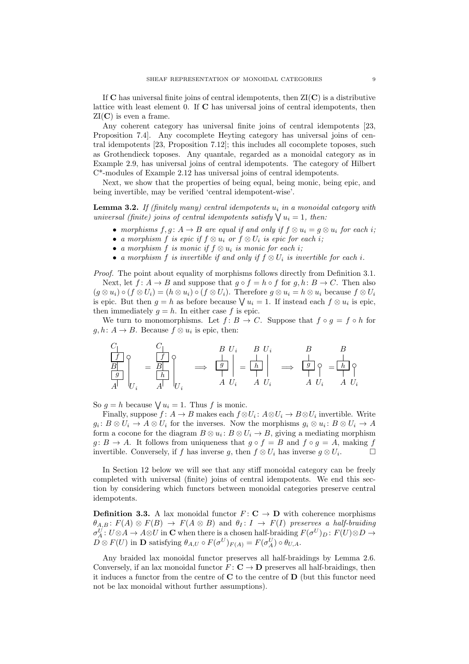If  $\bf{C}$  has universal finite joins of central idempotents, then  $ZI(\bf{C})$  is a distributive lattice with least element 0. If C has universal joins of central idempotents, then  $ZI(C)$  is even a frame.

Any coherent category has universal finite joins of central idempotents [\[23,](#page-36-3) Proposition 7.4]. Any cocomplete Heyting category has universal joins of central idempotents [\[23,](#page-36-3) Proposition 7.12]; this includes all cocomplete toposes, such as Grothendieck toposes. Any quantale, regarded as a monoidal category as in Example [2.9,](#page-5-1) has universal joins of central idempotents. The category of Hilbert C\*-modules of Example [2.12](#page-6-2) has universal joins of central idempotents.

Next, we show that the properties of being equal, being monic, being epic, and being invertible, may be verified 'central idempotent-wise'.

<span id="page-8-0"></span>**Lemma 3.2.** If (finitely many) central idempotents  $u_i$  in a monoidal category with universal (finite) joins of central idempotents satisfy  $\bigvee u_i = 1$ , then:

- morphisms  $f, g: A \to B$  are equal if and only if  $f \otimes u_i = g \otimes u_i$  for each i;
- a morphism f is epic if  $f \otimes u_i$  or  $f \otimes U_i$  is epic for each i;
- a morphism f is monic if  $f \otimes u_i$  is monic for each i;
- a morphism f is invertible if and only if  $f \otimes U_i$  is invertible for each i.

Proof. The point about equality of morphisms follows directly from Definition [3.1.](#page-7-1)

Next, let  $f: A \to B$  and suppose that  $q \circ f = h \circ f$  for  $q, h: B \to C$ . Then also  $(g \otimes u_i) \circ (f \otimes U_i) = (h \otimes u_i) \circ (f \otimes U_i)$ . Therefore  $g \otimes u_i = h \otimes u_i$  because  $f \otimes U_i$ is epic. But then  $g = h$  as before because  $\bigvee u_i = 1$ . If instead each  $f \otimes u_i$  is epic, then immediately  $q = h$ . In either case f is epic.

We turn to monomorphisms. Let  $f: B \to C$ . Suppose that  $f \circ q = f \circ h$  for  $g, h: A \to B$ . Because  $f \otimes u_i$  is epic, then:

$$
\begin{array}{c|c|c|c|c} C & C & B & U_i & B & U_i & B & B \\ \hline \hline \begin{array}{c|c|c} & & & & & \\ \hline \hline \begin{array}{c|c|c} & & & & & \\ \hline \hline \begin{array}{c|c} & & & & \\ \hline \hline \begin{array}{c} & & & \\ \hline \end{array} & & & & & \\ \hline \hline \begin{array}{c} & & & \\ \hline \end{array} & & & & & \\ \hline \hline \begin{array}{c} & & & \\ \hline \end{array} & & & & & & \\ \hline \end{array} & & & & & & \\ \hline \hline \begin{array}{c} & & & & \\ \hline \end{array} & & & & & & \\ \hline \end{array} & & & & & & \\ \hline \begin{array}{c} & & & & \\ \hline \end{array} & & & & & & \\ \hline \end{array} & & & & & & \\ \hline \begin{array}{c} & & & & \\ \hline \end{array} & & & & & & \\ \hline \end{array} & & & & & & \\ \hline \begin{array}{c} & & & & & \\ \hline \end{array} & & & & & & \\ \hline \end{array} & & & & & & \\ \hline \end{array} & & & & & & \\ \hline \end{array}
$$

So  $g = h$  because  $\bigvee u_i = 1$ . Thus f is monic.

Finally, suppose  $f: A \to B$  makes each  $f \otimes U_i: A \otimes U_i \to B \otimes U_i$  invertible. Write  $g_i: B \otimes U_i \to A \otimes U_i$  for the inverses. Now the morphisms  $g_i \otimes u_i: B \otimes U_i \to A$ form a cocone for the diagram  $B \otimes u_i : B \otimes U_i \to B$ , giving a mediating morphism  $g: B \to A$ . It follows from uniqueness that  $g \circ f = B$  and  $f \circ g = A$ , making f invertible. Conversely, if f has inverse g, then  $f \otimes U_i$  has inverse  $g \otimes U_i$ .  $\Box$ 

In Section [12](#page-29-0) below we will see that any stiff monoidal category can be freely completed with universal (finite) joins of central idempotents. We end this section by considering which functors between monoidal categories preserve central idempotents.

**Definition 3.3.** A lax monoidal functor  $F: \mathbb{C} \to \mathbb{D}$  with coherence morphisms  $\theta_{A,B}$ :  $F(A) \otimes F(B) \rightarrow F(A \otimes B)$  and  $\theta_I: I \rightarrow F(I)$  preserves a half-braiding  $\sigma_A^U: U \otimes A \to A \otimes U$  in **C** when there is a chosen half-braiding  $F(\sigma^U)_D: F(U) \otimes D \to$  $D \otimes F(U)$  in **D** satisfying  $\theta_{A,U} \circ F(\sigma^U)_{F(A)} = F(\sigma_A^U) \circ \theta_{U,A}.$ 

Any braided lax monoidal functor preserves all half-braidings by Lemma [2.6.](#page-4-1) Conversely, if an lax monoidal functor  $F: \mathbf{C} \to \mathbf{D}$  preserves all half-braidings, then it induces a functor from the centre of  $C$  to the centre of  $D$  (but this functor need not be lax monoidal without further assumptions).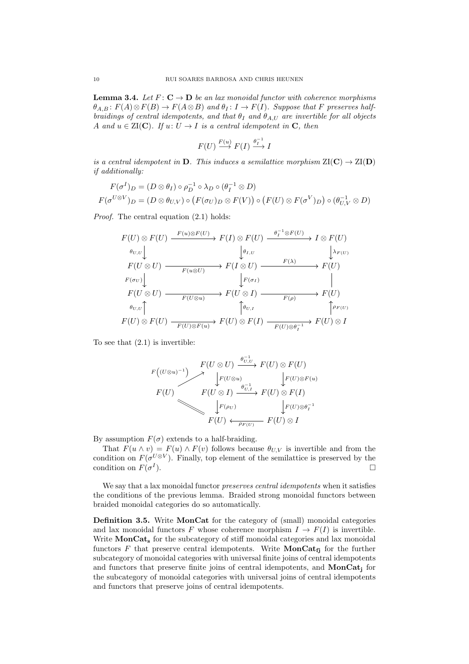<span id="page-9-1"></span>**Lemma 3.4.** Let  $F: \mathbf{C} \to \mathbf{D}$  be an lax monoidal functor with coherence morphisms  $\theta_{A,B}$ :  $F(A) \otimes F(B) \to F(A \otimes B)$  and  $\theta_I : I \to F(I)$ . Suppose that F preserves halfbraidings of central idempotents, and that  $\theta_I$  and  $\theta_{A,U}$  are invertible for all objects A and  $u \in \text{ZI}(\mathbf{C})$ . If  $u: U \to I$  is a central idempotent in **C**, then

$$
F(U) \stackrel{F(u)}{\longrightarrow} F(I) \stackrel{\theta_I^{-1}}{\longrightarrow} I
$$

is a central idempotent in **D**. This induces a semilattice morphism  $\text{ZI}(\mathbf{C}) \to \text{ZI}(\mathbf{D})$ if additionally:

$$
F(\sigma^I)_D = (D \otimes \theta_I) \circ \rho_D^{-1} \circ \lambda_D \circ (\theta_I^{-1} \otimes D)
$$
  

$$
F(\sigma^{U \otimes V})_D = (D \otimes \theta_{U,V}) \circ (F(\sigma_U)_D \otimes F(V)) \circ (F(U) \otimes F(\sigma^V)_D) \circ (\theta_{U,V}^{-1} \otimes D)
$$

Proof. The central equation  $(2.1)$  holds:

$$
F(U) \otimes F(U) \xrightarrow{F(u) \otimes F(U)} F(I) \otimes F(U) \xrightarrow{\theta_I^{-1} \otimes F(U)} I \otimes F(U)
$$
  
\n
$$
\theta_{U,U} \downarrow \qquad \qquad \downarrow \theta_{I,U} \qquad \qquad \downarrow \lambda_{F(U)}
$$
  
\n
$$
F(U \otimes U) \xrightarrow{F(u \otimes U)} F(I \otimes U) \xrightarrow{F(\lambda)} F(U)
$$
  
\n
$$
F(U \otimes U) \xrightarrow{F(U \otimes U)} F(U \otimes I) \xrightarrow{F(\sigma)} F(U)
$$
  
\n
$$
\theta_{U,U} \uparrow \qquad \qquad \downarrow \theta_{U,I} \qquad \qquad \downarrow \theta_{F(\sigma)} \qquad \qquad \downarrow \theta_{F(U)}
$$
  
\n
$$
F(U) \otimes F(U) \xrightarrow{F(U) \otimes F(u)} F(U) \otimes F(I) \xrightarrow{F(U) \otimes \theta_I^{-1}} F(U) \otimes I
$$

To see that [\(2.1\)](#page-2-0) is invertible:

$$
F(U \otimes U) \xrightarrow{F(U \otimes U)} F(U \otimes U) \xrightarrow{\theta_{U,U}^{-1}} F(U) \otimes F(U)
$$
  
\n
$$
F(U) \xrightarrow{\theta_{U,I}^{-1}} F(U) \otimes F(u)
$$
  
\n
$$
F(U \otimes I) \xrightarrow{\theta_{U,I}^{-1}} F(U) \otimes F(I)
$$
  
\n
$$
F(U) \xleftarrow{\rho_{F(U)}} F(U) \otimes I
$$

By assumption  $F(\sigma)$  extends to a half-braiding.

That  $F(u \wedge v) = F(u) \wedge F(v)$  follows because  $\theta_{U,V}$  is invertible and from the condition on  $F(\sigma^{U\otimes V})$ . Finally, top element of the semilattice is preserved by the condition on  $F(\sigma^I)$ ).  $\Box$ 

We say that a lax monoidal functor *preserves central idempotents* when it satisfies the conditions of the previous lemma. Braided strong monoidal functors between braided monoidal categories do so automatically.

<span id="page-9-0"></span>Definition 3.5. Write MonCat for the category of (small) monoidal categories and lax monoidal functors F whose coherence morphism  $I \to F(I)$  is invertible. Write  $MonCat_{s}$  for the subcategory of stiff monoidal categories and lax monoidal functors F that preserve central idempotents. Write  $MonCat_{fi}$  for the further subcategory of monoidal categories with universal finite joins of central idempotents and functors that preserve finite joins of central idempotents, and  $MonCat_i$  for the subcategory of monoidal categories with universal joins of central idempotents and functors that preserve joins of central idempotents.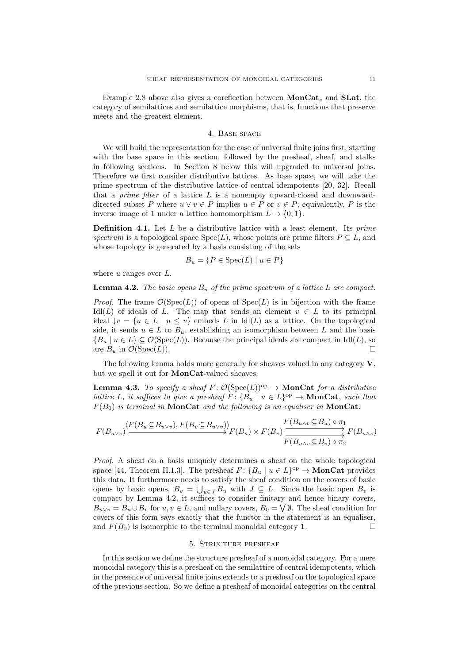Example [2.8](#page-5-2) above also gives a coreflection between  $MonCat_s$  and  $SLat$ , the category of semilattices and semilattice morphisms, that is, functions that preserve meets and the greatest element.

# 4. Base space

<span id="page-10-0"></span>We will build the representation for the case of universal finite joins first, starting with the base space in this section, followed by the presheaf, sheaf, and stalks in following sections. In Section [8](#page-20-0) below this will upgraded to universal joins. Therefore we first consider distributive lattices. As base space, we will take the prime spectrum of the distributive lattice of central idempotents [\[20,](#page-36-20) [32\]](#page-36-4). Recall that a *prime filter* of a lattice  $L$  is a nonempty upward-closed and downwarddirected subset P where  $u \vee v \in P$  implies  $u \in P$  or  $v \in P$ ; equivalently, P is the inverse image of 1 under a lattice homomorphism  $L \to \{0, 1\}.$ 

<span id="page-10-4"></span>**Definition 4.1.** Let  $L$  be a distributive lattice with a least element. Its  $prime$ spectrum is a topological space  $Spec(L)$ , whose points are prime filters  $P \subseteq L$ , and whose topology is generated by a basis consisting of the sets

$$
B_u = \{ P \in \text{Spec}(L) \mid u \in P \}
$$

where  $u$  ranges over  $L$ .

<span id="page-10-2"></span>**Lemma 4.2.** The basic opens  $B_u$  of the prime spectrum of a lattice L are compact.

*Proof.* The frame  $\mathcal{O}(\text{Spec}(L))$  of opens of  $\text{Spec}(L)$  is in bijection with the frame Idl(L) of ideals of L. The map that sends an element  $v \in L$  to its principal ideal  $\{v = \{u \in L \mid u \le v\}$  embeds L in Idl(L) as a lattice. On the topological side, it sends  $u \in L$  to  $B_u$ , establishing an isomorphism between L and the basis  ${B_u | u \in L} \subseteq \mathcal{O}(\text{Spec}(L))$ . Because the principal ideals are compact in Idl(L), so are  $B_u$  in  $\mathcal{O}(\text{Spec}(L)).$ 

The following lemma holds more generally for sheaves valued in any category V, but we spell it out for MonCat-valued sheaves.

<span id="page-10-3"></span>**Lemma 4.3.** To specify a sheaf  $F: \mathcal{O}(\text{Spec}(L))^{\text{op}} \to \text{MonCat}$  for a distributive lattice L, it suffices to give a presheaf  $F: \{B_u \mid u \in L\}^{\text{op}} \to \text{MonCat}$ , such that  $F(B_0)$  is terminal in **MonCat** and the following is an equaliser in **MonCat**:

$$
F(B_{u\vee v})\n\xrightarrow{\langle F(B_u \subseteq B_{u\vee v}), F(B_v \subseteq B_{u\vee v}) \rangle} F(B_u) \times F(B_v) \xrightarrow{F(B_{u\wedge v} \subseteq B_u) \circ \pi_1} F(B_{u\wedge v})
$$
\n
$$
\xrightarrow{F(B_{u\vee v} \subseteq B_v) \circ \pi_2} F(B_{u\wedge v})
$$

Proof. A sheaf on a basis uniquely determines a sheaf on the whole topological space [\[44,](#page-36-2) Theorem II.1.3]. The presheaf  $F: \{B_u \mid u \in L\}^{\text{op}} \to \mathbf{MonCat}$  provides this data. It furthermore needs to satisfy the sheaf condition on the covers of basic opens by basic opens,  $B_v = \bigcup_{u \in J} B_u$  with  $J \subseteq L$ . Since the basic open  $B_v$  is compact by Lemma [4.2,](#page-10-2) it suffices to consider finitary and hence binary covers,  $B_{u\vee v} = B_u \cup B_v$  for  $u, v \in L$ , and nullary covers,  $B_0 = \bigvee \emptyset$ . The sheaf condition for covers of this form says exactly that the functor in the statement is an equaliser, and  $F(B_0)$  is isomorphic to the terminal monoidal category 1.

#### 5. Structure presheaf

<span id="page-10-1"></span>In this section we define the structure presheaf of a monoidal category. For a mere monoidal category this is a presheaf on the semilattice of central idempotents, which in the presence of universal finite joins extends to a presheaf on the topological space of the previous section. So we define a presheaf of monoidal categories on the central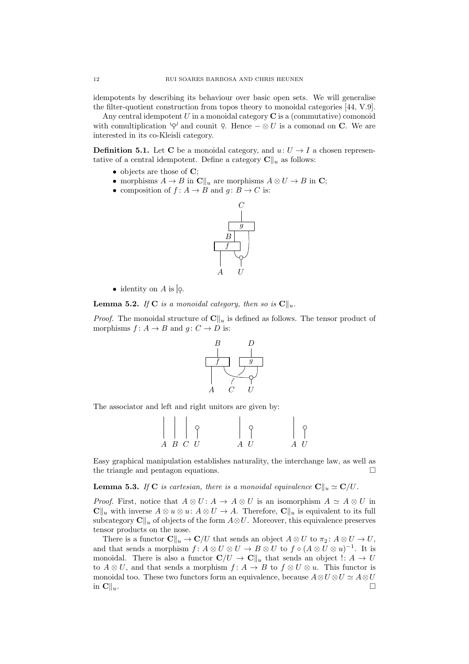idempotents by describing its behaviour over basic open sets. We will generalise the filter-quotient construction from topos theory to monoidal categories [\[44,](#page-36-2) V.9].

Any central idempotent  $U$  in a monoidal category  $C$  is a (commutative) comonoid with comultiplication  $\varphi$  and counit  $\varphi$ . Hence  $-\otimes U$  is a comonad on C. We are interested in its co-Kleisli category.

**Definition 5.1.** Let C be a monoidal category, and  $u: U \rightarrow I$  a chosen representative of a central idempotent. Define a category  $\mathbf{C}\Vert_{u}$  as follows:

- objects are those of C;
- morphisms  $A \to B$  in  $\mathbb{C}\Vert_{u}$  are morphisms  $A \otimes U \to B$  in  $\mathbb{C};$
- composition of  $f: A \to B$  and  $q: B \to C$  is:



• identity on A is  $| \circ \rangle$ 

**Lemma 5.2.** If **C** is a monoidal category, then so is  $\mathbf{C}\|_{u}$ .

*Proof.* The monoidal structure of  $\mathbf{C}\Vert_{u}$  is defined as follows. The tensor product of morphisms  $f: A \rightarrow B$  and  $q: C \rightarrow D$  is:



The associator and left and right unitors are given by:



Easy graphical manipulation establishes naturality, the interchange law, as well as the triangle and pentagon equations.

<span id="page-11-0"></span>**Lemma 5.3.** If C is cartesian, there is a monoidal equivalence  $C\|_u \simeq C/U$ .

*Proof.* First, notice that  $A \otimes U : A \rightarrow A \otimes U$  is an isomorphism  $A \simeq A \otimes U$  in  $\mathbf{C}\Vert_{u}$  with inverse  $A\otimes u\otimes u: A\otimes U\to A$ . Therefore,  $\mathbf{C}\Vert_{u}$  is equivalent to its full subcategory  $\mathbf{C}\Vert_{u}$  of objects of the form  $A\otimes U$ . Moreover, this equivalence preserves tensor products on the nose.

There is a functor  $\mathbf{C}\|_{u} \to \mathbf{C}/U$  that sends an object  $A \otimes U$  to  $\pi_2 : A \otimes U \to U$ , and that sends a morphism  $f: A \otimes U \otimes U \to B \otimes U$  to  $f \circ (A \otimes U \otimes u)^{-1}$ . It is monoidal. There is also a functor  $\mathbf{C}/U \to \mathbf{C}||_u$  that sends an object  $\Omega: A \to U$ to  $A \otimes U$ , and that sends a morphism  $f: A \rightarrow B$  to  $f \otimes U \otimes u$ . This functor is monoidal too. These two functors form an equivalence, because  $A \otimes U \otimes U \simeq A \otimes U$ in  $\mathbf{C} \Vert_u$ .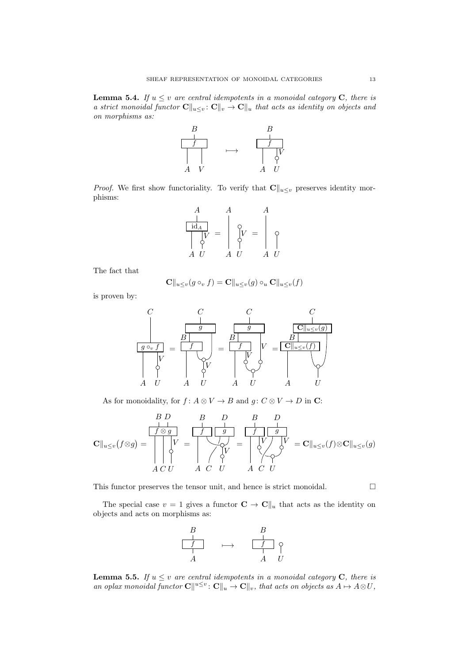<span id="page-12-0"></span>**Lemma 5.4.** If  $u \leq v$  are central idempotents in a monoidal category **C**, there is a strict monoidal functor  $\mathbf{C}\|_{u\leq v}$ :  $\mathbf{C}\|_{v} \to \mathbf{C}\|_{u}$  that acts as identity on objects and on morphisms as:



*Proof.* We first show functoriality. To verify that  $\mathbf{C}\|_{u\leq v}$  preserves identity morphisms:

$$
\begin{array}{c}\nA \\
\downarrow \\
\hline\n\downarrow \downarrow \\
A \quad U\n\end{array} = \begin{array}{c}\nA \\
\downarrow \\
\downarrow \downarrow \\
\downarrow \\
A \quad U\n\end{array} = \begin{array}{c}\nA \\
\downarrow \\
\downarrow \\
\downarrow \\
A \quad U\n\end{array}
$$

The fact that

$$
\mathbf{C}||_{u\leq v}(g\circ_v f) = \mathbf{C}||_{u\leq v}(g)\circ_u \mathbf{C}||_{u\leq v}(f)
$$

is proven by:

$$
\frac{C}{g \circ_v f} = \frac{C}{f} \frac{C}{f} = \frac{C}{f} \frac{G}{g} = \frac{C}{f} \frac{C}{g}
$$
\n
$$
\frac{G}{g} \frac{G}{g} \frac{G}{g} = \frac{G}{f} \frac{G}{g}
$$
\n
$$
\frac{G}{g} \frac{G}{g} \frac{G}{g} = \frac{G}{g} \frac{G}{g}
$$
\n
$$
\frac{G}{g} \frac{G}{g} \frac{G}{g} = \frac{G}{g}
$$
\n
$$
\frac{G}{g} \frac{G}{g} \frac{G}{g} = \frac{G}{g}
$$
\n
$$
\frac{G}{g} \frac{G}{g} \frac{G}{g} = \frac{G}{g}
$$
\n
$$
\frac{G}{g} \frac{G}{g} \frac{G}{g} = \frac{G}{g}
$$
\n
$$
\frac{G}{g} \frac{G}{g} \frac{G}{g} = \frac{G}{g}
$$
\n
$$
\frac{G}{g} \frac{G}{g} \frac{G}{g} = \frac{G}{g}
$$
\n
$$
\frac{G}{g} \frac{G}{g} \frac{G}{g} = \frac{G}{g}
$$

As for monoidality, for  $f: A \otimes V \to B$  and  $g: C \otimes V \to D$  in C:

Cku≤<sup>v</sup> f⊗g = f ⊗ g B D A C V U = f g B D A C V U = f g B D V V A C U = Cku≤v(f)⊗Cku≤v(g)

This functor preserves the tensor unit, and hence is strict monoidal.  $\Box$ 

The special case  $v = 1$  gives a functor  $\mathbf{C} \to \mathbf{C} \parallel_u$  that acts as the identity on objects and acts on morphisms as:



<span id="page-12-1"></span>**Lemma 5.5.** If  $u \leq v$  are central idempotents in a monoidal category **C**, there is an oplax monoidal functor  $\mathbf{C} \| u \leq v : \mathbf{C} \|_{u} \to \mathbf{C} \|_{v}$ , that acts on objects as  $A \mapsto A \otimes U$ ,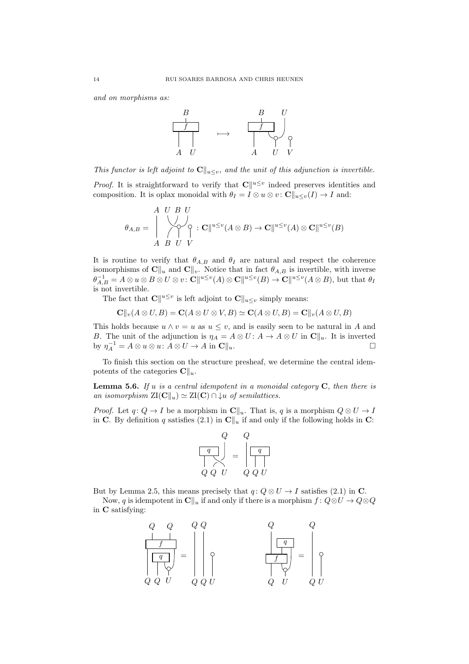and on morphisms as:



This functor is left adjoint to  $\mathbf{C}\|_{u\leq v}$ , and the unit of this adjunction is invertible.

*Proof.* It is straightforward to verify that  $\mathbf{C} \parallel^{u \leq v}$  indeed preserves identities and composition. It is oplax monoidal with  $\theta_I = I \otimes u \otimes v$ :  $\mathbb{C} \parallel_{u \leq v}(I) \to I$  and:

$$
\theta_{A,B} = \begin{pmatrix} A & U & B & U \\ \downarrow & \searrow & \searrow & \searrow \\ \nearrow & \searrow & \searrow & \searrow & \searrow \\ A & B & U & V & \end{pmatrix} : \mathbf{C} \Vert^{u \leq v} (A \otimes B) \to \mathbf{C} \Vert^{u \leq v} (A) \otimes \mathbf{C} \Vert^{u \leq v} (B)
$$

It is routine to verify that  $\theta_{A,B}$  and  $\theta_I$  are natural and respect the coherence isomorphisms of  $\mathbf{C}||_u$  and  $\mathbf{C}||_v$ . Notice that in fact  $\theta_{A,B}$  is invertible, with inverse  $\theta_{A,B}^{-1} = A \otimes u \otimes B \otimes U \otimes v$ :  $\mathbf{C} \Vert u \leq v(A) \otimes \mathbf{C} \Vert u \leq v(B) \to \mathbf{C} \Vert u \leq v(A \otimes B)$ , but that  $\theta_I$ is not invertible.

The fact that  $\mathbf{C} \|^{u \leq v}$  is left adjoint to  $\mathbf{C} \|_{u \leq v}$  simply means:

$$
\mathbf{C}||_v(A \otimes U, B) = \mathbf{C}(A \otimes U \otimes V, B) \simeq \mathbf{C}(A \otimes U, B) = \mathbf{C}||_v(A \otimes U, B)
$$

This holds because  $u \wedge v = u$  as  $u \leq v$ , and is easily seen to be natural in A and B. The unit of the adjunction is  $\eta_A = A \otimes U : A \to A \otimes U$  in  $\mathbb{C} \|_{u}$ . It is inverted by  $\eta_A^{-1} = A \otimes u \otimes u : A \otimes U \to A$  in  $\mathbb{C} \parallel_u$ .

To finish this section on the structure presheaf, we determine the central idempotents of the categories  $\mathbf{C} \Vert_{u}$ .

<span id="page-13-0"></span>**Lemma 5.6.** If  $u$  is a central idempotent in a monoidal category  $C$ , then there is an isomorphism  $\mathrm{ZI}(\mathbf{C}\Vert_{u}) \simeq \mathrm{ZI}(\mathbf{C}) \cap \downarrow u$  of semilattices.

*Proof.* Let  $q: Q \to I$  be a morphism in  $\mathbb{C}\Vert u$ . That is, q is a morphism  $Q \otimes U \to I$ in C. By definition q satisfies [\(2.1\)](#page-2-0) in  $\mathbb{C}\Vert_u$  if and only if the following holds in C:



But by Lemma [2.5,](#page-4-0) this means precisely that  $q: Q \otimes U \to I$  satisfies [\(2.1\)](#page-2-0) in C.

Now, q is idempotent in  $\mathbb{C}||_u$  if and only if there is a morphism  $f : Q \otimes U \to Q \otimes Q$ in C satisfying:

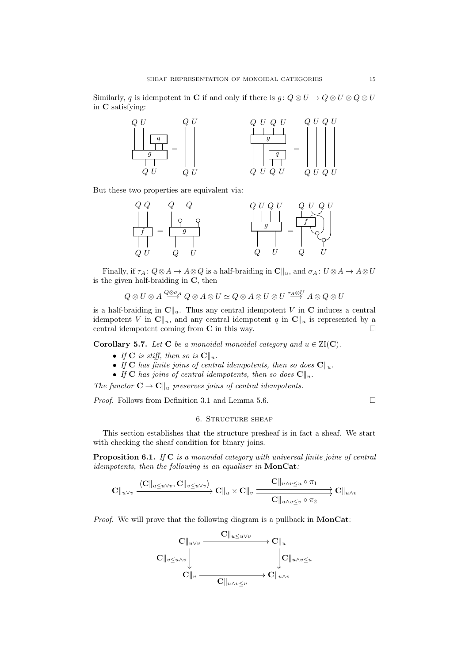Similarly, q is idempotent in C if and only if there is  $g: Q \otimes U \to Q \otimes U \otimes Q \otimes U$ in C satisfying:



But these two properties are equivalent via:



Finally, if  $\tau_A: Q \otimes A \to A \otimes Q$  is a half-braiding in  $\mathbb{C} \|_u$ , and  $\sigma_A: U \otimes A \to A \otimes U$ is the given half-braiding in C, then

$$
Q\otimes U\otimes A\stackrel{Q\otimes \sigma_A}{\longrightarrow} Q\otimes A\otimes U\simeq Q\otimes A\otimes U\otimes U\stackrel{\tau_A\otimes U}{\longrightarrow} A\otimes Q\otimes U
$$

is a half-braiding in  $\mathbf{C}\Vert_{u}$ . Thus any central idempotent V in C induces a central idempotent V in  $\mathbf{C}\Vert_{u}$ , and any central idempotent q in  $\mathbf{C}\Vert_{u}$  is represented by a central idempotent coming from  $C$  in this way.  $\square$ 

Corollary 5.7. Let C be a monoidal monoidal category and  $u \in ZI(C)$ .

- If C is stiff, then so is  $\mathbf{C}\Vert_{u}$ .
- If C has finite joins of central idempotents, then so does  $\mathbf{C}||_u$ .
- If C has joins of central idempotents, then so does  $\mathbf{C}||_u$ .

The functor  $\mathbf{C} \to \mathbf{C} \Vert_u$  preserves joins of central idempotents.

*Proof.* Follows from Definition [3.1](#page-7-1) and Lemma [5.6.](#page-13-0)  $\Box$ 

# 6. STRUCTURE SHEAF

<span id="page-14-0"></span>This section establishes that the structure presheaf is in fact a sheaf. We start with checking the sheaf condition for binary joins.

<span id="page-14-1"></span>**Proposition 6.1.** If  $C$  is a monoidal category with universal finite joins of central idempotents, then the following is an equaliser in  $MonCat$ :

$$
\mathbf{C} \|_{u \vee v} \xrightarrow{\langle \mathbf{C} \|_{u \leq u \vee v}, \mathbf{C} \|_{v \leq u \vee v}} \mathbf{C} \|_{u} \times \mathbf{C} \|_{v} \xrightarrow{\mathbf{C} \|_{u \wedge v \leq u} \circ \pi_{1}} \mathbf{C} \|_{u \wedge v}
$$

Proof. We will prove that the following diagram is a pullback in MonCat:

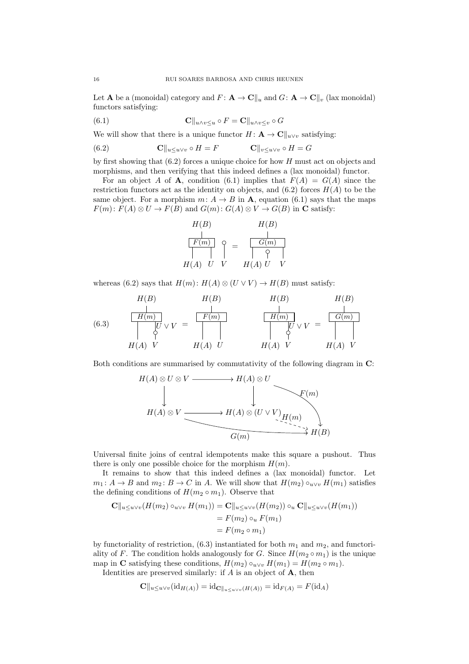Let **A** be a (monoidal) category and  $F: \mathbf{A} \to \mathbf{C} \parallel_u \text{ and } G: \mathbf{A} \to \mathbf{C} \parallel_v (\text{law monoidal})$ functors satisfying:

<span id="page-15-1"></span>(6.1) 
$$
\mathbf{C}||_{u \wedge v \leq u} \circ F = \mathbf{C}||_{u \wedge v \leq v} \circ G
$$

We will show that there is a unique functor  $H: \mathbf{A} \to \mathbf{C} \parallel_{u \vee v}$  satisfying:

<span id="page-15-0"></span>(6.2) 
$$
\mathbf{C} \|_{u \le u \vee v} \circ H = F \qquad \mathbf{C} \|_{v \le u \vee v} \circ H = G
$$

by first showing that  $(6.2)$  forces a unique choice for how H must act on objects and morphisms, and then verifying that this indeed defines a (lax monoidal) functor.

For an object A of **A**, condition [\(6.1\)](#page-15-1) implies that  $F(A) = G(A)$  since the restriction functors act as the identity on objects, and  $(6.2)$  forces  $H(A)$  to be the same object. For a morphism  $m: A \rightarrow B$  in **A**, equation [\(6.1\)](#page-15-1) says that the maps  $F(m): F(A) \otimes U \to F(B)$  and  $G(m): G(A) \otimes V \to G(B)$  in C satisfy:

$$
H(B) \t\t H(B)
$$
\n
$$
\begin{array}{c|c}\nF(m) \\
\hline\n\end{array} \quad \varphi = \begin{array}{c|c}\nG(m) \\
\hline\nG(m) \\
\hline\n\end{array}
$$
\n
$$
H(A) \quad U \quad V \qquad H(A) \quad U \quad V
$$

whereas [\(6.2\)](#page-15-0) says that  $H(m): H(A) \otimes (U \vee V) \rightarrow H(B)$  must satisfy:

<span id="page-15-2"></span>(6.3) H(m) H(B) H(A) U ∨ V V = F(m) H(B) H(A) U H(m) H(B) H(A) U ∨ V V = G(m) H(B) H(A) V

Both conditions are summarised by commutativity of the following diagram in C:



Universal finite joins of central idempotents make this square a pushout. Thus there is only one possible choice for the morphism  $H(m)$ .

It remains to show that this indeed defines a (lax monoidal) functor. Let  $m_1: A \to B$  and  $m_2: B \to C$  in A. We will show that  $H(m_2) \circ_{u \vee v} H(m_1)$  satisfies the defining conditions of  $H(m_2 \circ m_1)$ . Observe that

$$
\mathbf{C}||_{u \le u \vee v}(H(m_2) \circ_{u \vee v} H(m_1)) = \mathbf{C}||_{u \le u \vee v}(H(m_2)) \circ_u \mathbf{C}||_{u \le u \vee v}(H(m_1))
$$
  
=  $F(m_2) \circ_u F(m_1)$   
=  $F(m_2 \circ m_1)$ 

by functoriality of restriction,  $(6.3)$  instantiated for both  $m_1$  and  $m_2$ , and functoriality of F. The condition holds analogously for G. Since  $H(m_2 \circ m_1)$  is the unique map in C satisfying these conditions,  $H(m_2) \circ_{u \vee v} H(m_1) = H(m_2 \circ m_1)$ .

Identities are preserved similarly: if  $A$  is an object of  $A$ , then

$$
\mathbf{C}||_{u \le u \vee v}(\mathrm{id}_{H(A)}) = \mathrm{id}_{\mathbf{C}||_{u \le u \vee v}(H(A))} = \mathrm{id}_{F(A)} = F(\mathrm{id}_{A})
$$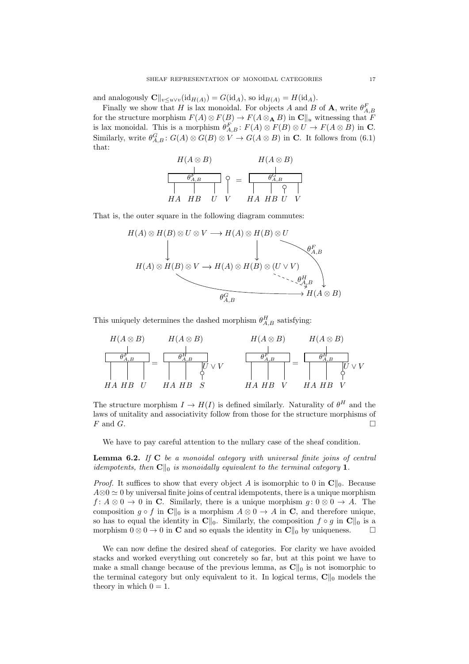and analogously  $\mathbf{C}\|_{v\leq u\vee v}(\mathrm{id}_{H(A)}) = G(\mathrm{id}_A)$ , so  $\mathrm{id}_{H(A)} = H(\mathrm{id}_A)$ .

Finally we show that H is lax monoidal. For objects A and B of A, write  $\theta_{A,B}^F$ for the structure morphism  $F(A) \otimes F(B) \to F(A \otimes_A B)$  in  $\mathbb{C}[[u]$  witnessing that F is lax monoidal. This is a morphism  $\theta_{A,B}^F: F(A) \otimes F(B) \otimes U \to F(A \otimes B)$  in C. Similarly, write  $\theta_{A,B}^G$ :  $G(A) \otimes G(B) \otimes V \to G(A \otimes B)$  in **C**. It follows from [\(6.1\)](#page-15-1) that:



That is, the outer square in the following diagram commutes:



This uniquely determines the dashed morphism  $\theta_{A,B}^H$  satisfying:



The structure morphism  $I \to H(I)$  is defined similarly. Naturality of  $\theta^H$  and the laws of unitality and associativity follow from those for the structure morphisms of  $F$  and  $G$ .

We have to pay careful attention to the nullary case of the sheaf condition.

<span id="page-16-0"></span>**Lemma 6.2.** If  $C$  be a monoidal category with universal finite joins of central idempotents, then  $\mathbf{C}\Vert_{0}$  is monoidally equivalent to the terminal category 1.

*Proof.* It suffices to show that every object A is isomorphic to 0 in  $\mathbb{C}\Vert_{0}$ . Because  $A\otimes 0 \simeq 0$  by universal finite joins of central idempotents, there is a unique morphism  $f: A \otimes 0 \to 0$  in C. Similarly, there is a unique morphism  $g: 0 \otimes 0 \to A$ . The composition  $g \circ f$  in  $\mathbf{C} \parallel_0$  is a morphism  $A \otimes 0 \to A$  in  $\mathbf{C}$ , and therefore unique, so has to equal the identity in  $\mathbf{C}\Vert_0$ . Similarly, the composition  $f \circ g$  in  $\mathbf{C}\Vert_0$  is a morphism  $0 \otimes 0 \to 0$  in **C** and so equals the identity in  $\mathbf{C}\|_0$  by uniqueness.  $\Box$ 

We can now define the desired sheaf of categories. For clarity we have avoided stacks and worked everything out concretely so far, but at this point we have to make a small change because of the previous lemma, as  $\mathbf{C} \parallel_0$  is not isomorphic to the terminal category but only equivalent to it. In logical terms,  $\mathbf{C} \parallel_0$  models the theory in which  $0 = 1$ .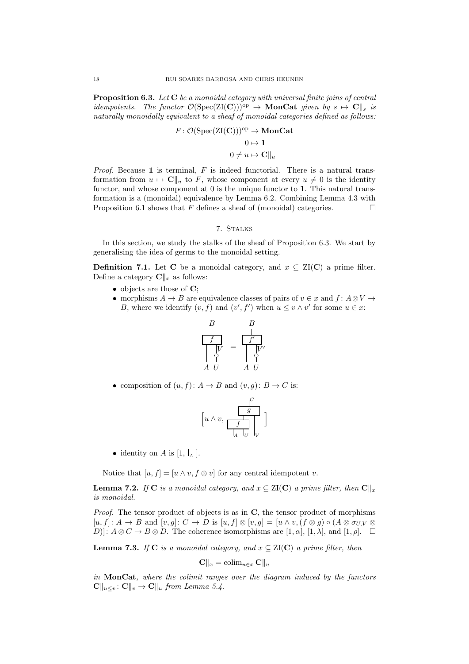<span id="page-17-1"></span>**Proposition 6.3.** Let  $C$  be a monoidal category with universal finite joins of central *idempotents.* The functor  $\mathcal{O}(\text{Spec}(\text{ZI}(\mathbf{C})))^{op} \to \text{MonCat}$  given by  $s \mapsto \mathbf{C}\|_{s}$  is naturally monoidally equivalent to a sheaf of monoidal categories defined as follows:

$$
F: \mathcal{O}(\operatorname{Spec}(\operatorname{ZI}(\mathbf{C})))^{\mathrm{op}} \to \mathbf{MonCat}
$$

$$
0 \to 1
$$

$$
0 \neq u \mapsto \mathbf{C} \parallel_u
$$

*Proof.* Because 1 is terminal,  $F$  is indeed functorial. There is a natural transformation from  $u \mapsto \mathbf{C} \parallel_u \text{ to } F$ , whose component at every  $u \neq 0$  is the identity functor, and whose component at 0 is the unique functor to 1. This natural transformation is a (monoidal) equivalence by Lemma [6.2.](#page-16-0) Combining Lemma [4.3](#page-10-3) with Proposition [6.1](#page-14-1) shows that F defines a sheaf of (monoidal) categories.  $\Box$ 

# 7. Stalks

<span id="page-17-0"></span>In this section, we study the stalks of the sheaf of Proposition [6.3.](#page-17-1) We start by generalising the idea of germs to the monoidal setting.

**Definition 7.1.** Let C be a monoidal category, and  $x \subseteq \text{ZI}(\mathbf{C})$  a prime filter. Define a category  $\mathbf{C}\|_x$  as follows:

- objects are those of **C**;
- morphisms  $A \to B$  are equivalence classes of pairs of  $v \in x$  and  $f: A \otimes V \to$ B, where we identify  $(v, f)$  and  $(v', f')$  when  $u \leq v \wedge v'$  for some  $u \in x$ :



• composition of  $(u, f): A \to B$  and  $(v, g): B \to C$  is:

$$
\left[u\wedge v,\begin{array}{c} \begin{matrix}C\\ g\\ \hline f\\ \hline I_A\end{matrix} \\ \hline \end{array}\right]_V
$$

• identity on A is  $[1, \vert_{A}]$ .

Notice that  $[u, f] = [u \wedge v, f \otimes v]$  for any central idempotent v.

**Lemma 7.2.** If C is a monoidal category, and  $x \subseteq ZI(C)$  a prime filter, then  $C\Vert_x$ is monoidal.

*Proof.* The tensor product of objects is as in  $C$ , the tensor product of morphisms  $[u, f]: A \to B$  and  $[v, q]: C \to D$  is  $[u, f] \otimes [v, q] = [u \wedge v, (f \otimes q) \circ (A \otimes \sigma_{UV} \otimes$  $[D]$ :  $A \otimes C \rightarrow B \otimes D$ . The coherence isomorphisms are  $[1, \alpha]$ ,  $[1, \lambda]$ , and  $[1, \rho]$ .  $\square$ 

**Lemma 7.3.** If C is a monoidal category, and  $x \in \text{ZI}(\mathbb{C})$  a prime filter, then

$$
\mathbf{C} \|_x = \operatorname{colim}_{u \in x} \mathbf{C} \|_u
$$

in MonCat, where the colimit ranges over the diagram induced by the functors  $\mathbf{C} \|_{u \leq v} : \mathbf{C} \|_{v} \to \mathbf{C} \|_{u}$  from Lemma [5.4.](#page-12-0)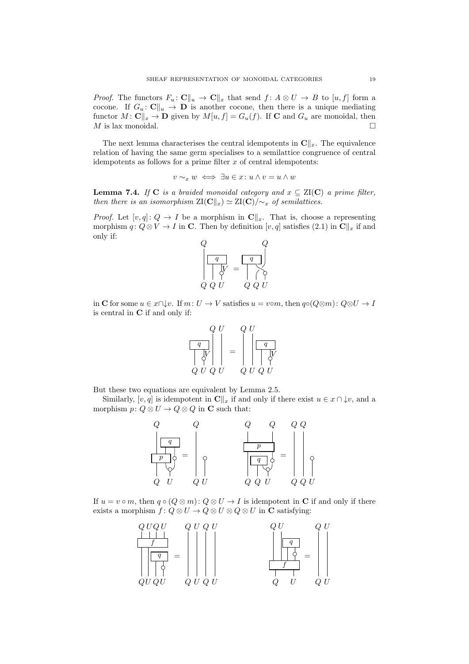*Proof.* The functors  $F_u: \mathbf{C} \parallel_u \to \mathbf{C} \parallel_x$  that send  $f: A \otimes U \to B$  to  $[u, f]$  form a cocone. If  $G_u: \mathbf{C} \|_u \to \mathbf{D}$  is another cocone, then there is a unique mediating functor  $M: \mathbf{C} \|_x \to \mathbf{D}$  given by  $M[u, f] = G_u(f)$ . If **C** and  $G_u$  are monoidal, then  $M$  is lax monoidal.

The next lemma characterises the central idempotents in  $\mathbf{C}\|_x$ . The equivalence relation of having the same germ specialises to a semilattice congruence of central idempotents as follows for a prime filter  $x$  of central idempotents:

$$
v\sim_x w\iff \exists u\in x\colon u\wedge v=u\wedge w
$$

<span id="page-18-0"></span>**Lemma 7.4.** If C is a braided monoidal category and  $x \subseteq \text{ZI(C)}$  a prime filter, then there is an isomorphism  $\mathrm{ZI}(\mathbf{C}\Vert_x) \simeq \mathrm{ZI}(\mathbf{C})/\mathcal{Z}_x$  of semilattices.

*Proof.* Let  $[v, q]: Q \to I$  be a morphism in  $\mathbb{C}||_x$ . That is, choose a representing morphism  $q: Q \otimes V \to I$  in C. Then by definition  $[v, q]$  satisfies [\(2.1\)](#page-2-0) in  $\mathbb{C}||_x$  if and only if:



in C for some  $u \in x \cap \downarrow v$ . If  $m: U \to V$  satisfies  $u = v \circ m$ , then  $q \circ (Q \otimes m): Q \otimes U \to I$ is central in C if and only if:

$$
\begin{array}{c|c}\n & Q & U \\
\hline\nq & & \\
\hline\n\downarrow & & \\
Q & U & Q & U\n\end{array} = \begin{array}{c|c}\n & Q & U \\
 & \hline\n\end{array}
$$

But these two equations are equivalent by Lemma [2.5.](#page-4-0)

Similarly,  $[v, q]$  is idempotent in  $\mathbf{C}\|_x$  if and only if there exist  $u \in x \cap \mathcal{L}v$ , and a morphism  $p: Q \otimes U \to Q \otimes Q$  in **C** such that:



If  $u = v \circ m$ , then  $q \circ (Q \otimes m) : Q \otimes U \to I$  is idempotent in C if and only if there exists a morphism  $f: Q \otimes U \to Q \otimes U \otimes Q \otimes U$  in **C** satisfying:

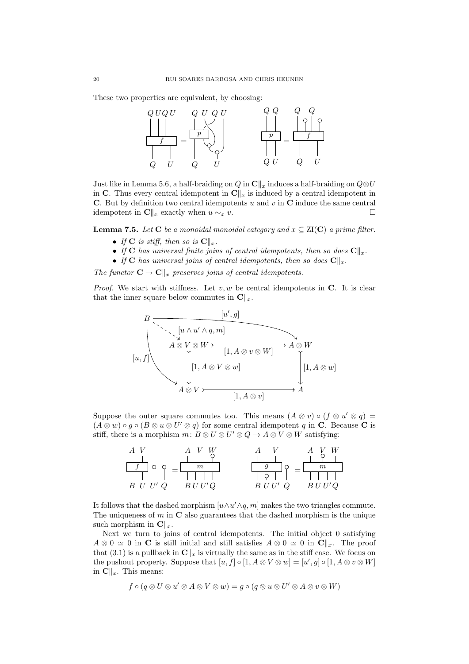These two properties are equivalent, by choosing:



Just like in Lemma [5.6,](#page-13-0) a half-braiding on  $Q$  in  $\mathbb{C}\Vert_x$  induces a half-braiding on  $Q\otimes U$ in C. Thus every central idempotent in  $\mathbf{C}\|_x$  is induced by a central idempotent in C. But by definition two central idempotents  $u$  and  $v$  in C induce the same central idempotent in  $\mathbf{C}\|_x$  exactly when  $u \sim_x v$ .

**Lemma 7.5.** Let C be a monoidal monoidal category and  $x \subseteq \text{ZI(C)}$  a prime filter.

- If C is stiff, then so is  $\mathbf{C}||_x$ .
- If C has universal finite joins of central idempotents, then so does  $\mathbf{C}\|_x$ .
- If C has universal joins of central idempotents, then so does  $\mathbf{C}\|_x$ .

The functor  $\mathbf{C} \to \mathbf{C} \Vert_x$  preserves joins of central idempotents.

*Proof.* We start with stiffness. Let  $v, w$  be central idempotents in C. It is clear that the inner square below commutes in  $\mathbf{C}\|_x$ .



Suppose the outer square commutes too. This means  $(A \otimes v) \circ (f \otimes u' \otimes q) =$  $(A \otimes w) \circ g \circ (B \otimes u \otimes U' \otimes q)$  for some central idempotent q in C. Because C is stiff, there is a morphism  $m: B \otimes U \otimes U' \otimes Q \to A \otimes V \otimes W$  satisfying:

| $_{m}$  |                        | $\boldsymbol{m}$ |
|---------|------------------------|------------------|
|         |                        |                  |
| D<br>سا | $\boldsymbol{R}$<br>W. |                  |

It follows that the dashed morphism  $[u \wedge u' \wedge q, m]$  makes the two triangles commute. The uniqueness of  $m$  in  $\bf{C}$  also guarantees that the dashed morphism is the unique such morphism in  $\mathbf{C}\|_{r}$ .

Next we turn to joins of central idempotents. The initial object 0 satisfying  $A \otimes 0 \simeq 0$  in **C** is still initial and still satisfies  $A \otimes 0 \simeq 0$  in  $\mathbb{C}||_x$ . The proof that [\(3.1\)](#page-7-2) is a pullback in  $\mathbf{C}\|_x$  is virtually the same as in the stiff case. We focus on the pushout property. Suppose that  $[u, f] \circ [1, A \otimes V \otimes w] = [u', g] \circ [1, A \otimes v \otimes W]$ in  $\mathbf{C}\|_x$ . This means:

$$
f \circ (q \otimes U \otimes u' \otimes A \otimes V \otimes w) = g \circ (q \otimes u \otimes U' \otimes A \otimes v \otimes W)
$$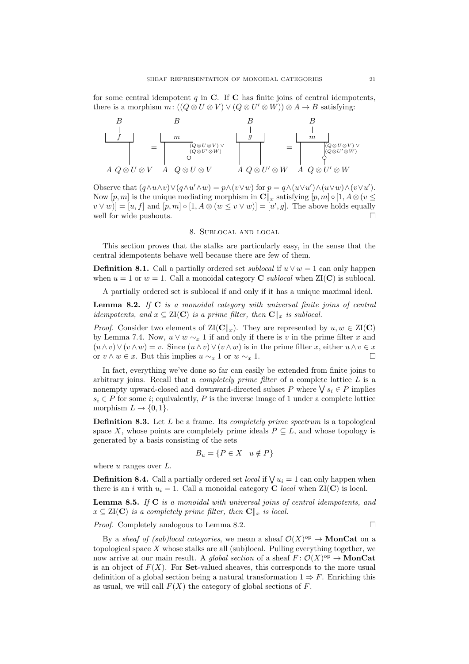for some central idempotent  $q$  in  $C$ . If  $C$  has finite joins of central idempotents, there is a morphism  $m: ((Q \otimes U \otimes V) \vee (Q \otimes U' \otimes W)) \otimes A \rightarrow B$  satisfying:



Observe that  $(q \wedge u \wedge v) \vee (q \wedge u' \wedge w) = p \wedge (v \vee w)$  for  $p = q \wedge (u \vee u') \wedge (u \vee w) \wedge (v \vee u')$ . Now  $[p, m]$  is the unique mediating morphism in  $\mathbf{C}\|_x$  satisfying  $[p, m] \circ [1, A \otimes (v \leq$  $[v \vee w] = [u, f]$  and  $[p, m] \circ [1, A \otimes (w \le v \vee w)] = [u', g]$ . The above holds equally well for wide pushouts.  $\Box$ 

# 8. Sublocal and local

<span id="page-20-0"></span>This section proves that the stalks are particularly easy, in the sense that the central idempotents behave well because there are few of them.

**Definition 8.1.** Call a partially ordered set *sublocal* if  $u \vee w = 1$  can only happen when  $u = 1$  or  $w = 1$ . Call a monoidal category **C** sublocal when  $ZI(C)$  is sublocal.

A partially ordered set is sublocal if and only if it has a unique maximal ideal.

<span id="page-20-1"></span>**Lemma 8.2.** If  $C$  is a monoidal category with universal finite joins of central idempotents, and  $x \subseteq \text{ZI}(\mathbf{C})$  is a prime filter, then  $\mathbf{C} \parallel_x$  is sublocal.

*Proof.* Consider two elements of  $\mathrm{ZI}(\mathbf{C}\Vert_x)$ . They are represented by  $u, w \in \mathrm{ZI}(\mathbf{C})$ by Lemma [7.4.](#page-18-0) Now,  $u \vee w \sim_x 1$  if and only if there is v in the prime filter x and  $(u \wedge v) \vee (v \wedge w) = v$ . Since  $(u \wedge v) \vee (v \wedge w)$  is in the prime filter x, either  $u \wedge v \in x$ or  $v \wedge w \in x$ . But this implies  $u \sim_x 1$  or  $w \sim_x 1$ .  $\Box$ 

In fact, everything we've done so far can easily be extended from finite joins to arbitrary joins. Recall that a *completely prime filter* of a complete lattice  $L$  is a nonempty upward-closed and downward-directed subset P where  $\bigvee s_i \in P$  implies  $s_i \in P$  for some *i*; equivalently, P is the inverse image of 1 under a complete lattice morphism  $L \to \{0, 1\}.$ 

**Definition 8.3.** Let  $L$  be a frame. Its *completely prime spectrum* is a topological space X, whose points are completely prime ideals  $P \subseteq L$ , and whose topology is generated by a basis consisting of the sets

$$
B_u = \{ P \in X \mid u \notin P \}
$$

where  $u$  ranges over  $L$ .

**Definition 8.4.** Call a partially ordered set *local* if  $\bigvee u_i = 1$  can only happen when there is an i with  $u_i = 1$ . Call a monoidal category **C** local when  $\mathbf{Z}(\mathbf{C})$  is local.

<span id="page-20-2"></span>**Lemma 8.5.** If  $C$  is a monoidal with universal joins of central idempotents, and  $x \subseteq \text{ZI}(\mathbf{C})$  is a completely prime filter, then  $\mathbf{C}\|_x$  is local.

*Proof.* Completely analogous to Lemma [8.2.](#page-20-1)

By a sheaf of (sub)local categories, we mean a sheaf  $\mathcal{O}(X)^\text{op} \to \mathbf{MonCat}$  on a topological space X whose stalks are all (sub)local. Pulling everything together, we now arrive at our main result. A *global section* of a sheaf  $F: \mathcal{O}(X)^\text{op} \to \mathbf{MonCat}$ is an object of  $F(X)$ . For **Set**-valued sheaves, this corresponds to the more usual definition of a global section being a natural transformation  $1 \Rightarrow F$ . Enriching this as usual, we will call  $F(X)$  the category of global sections of F.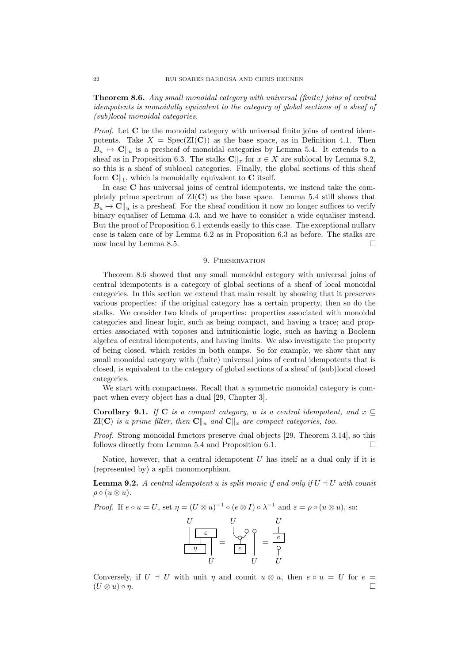<span id="page-21-1"></span>Theorem 8.6. Any small monoidal category with universal (finite) joins of central idempotents is monoidally equivalent to the category of global sections of a sheaf of (sub)local monoidal categories.

Proof. Let C be the monoidal category with universal finite joins of central idempotents. Take  $X = \text{Spec}(\text{ZI}(\mathbb{C}))$  as the base space, as in Definition [4.1.](#page-10-4) Then  $B_u \mapsto \mathbf{C} \parallel_u$  is a presheaf of monoidal categories by Lemma [5.4.](#page-12-0) It extends to a sheaf as in Proposition [6.3.](#page-17-1) The stalks  $\mathbb{C}\|_x$  for  $x \in X$  are sublocal by Lemma [8.2,](#page-20-1) so this is a sheaf of sublocal categories. Finally, the global sections of this sheaf form  $\mathbf{C} \parallel_1$ , which is monoidally equivalent to C itself.

In case C has universal joins of central idempotents, we instead take the completely prime spectrum of  $ZI(C)$  as the base space. Lemma [5.4](#page-12-0) still shows that  $B_u \mapsto \mathbf{C} \parallel_u$  is a presheaf. For the sheaf condition it now no longer suffices to verify binary equaliser of Lemma [4.3,](#page-10-3) and we have to consider a wide equaliser instead. But the proof of Proposition [6.1](#page-14-1) extends easily to this case. The exceptional nullary case is taken care of by Lemma [6.2](#page-16-0) as in Proposition [6.3](#page-17-1) as before. The stalks are now local by Lemma [8.5.](#page-20-2)

#### 9. PRESERVATION

<span id="page-21-0"></span>Theorem [8.6](#page-21-1) showed that any small monoidal category with universal joins of central idempotents is a category of global sections of a sheaf of local monoidal categories. In this section we extend that main result by showing that it preserves various properties: if the original category has a certain property, then so do the stalks. We consider two kinds of properties: properties associated with monoidal categories and linear logic, such as being compact, and having a trace; and properties associated with toposes and intuitionistic logic, such as having a Boolean algebra of central idempotents, and having limits. We also investigate the property of being closed, which resides in both camps. So for example, we show that any small monoidal category with (finite) universal joins of central idempotents that is closed, is equivalent to the category of global sections of a sheaf of (sub)local closed categories.

We start with compactness. Recall that a symmetric monoidal category is compact when every object has a dual [\[29,](#page-36-8) Chapter 3].

Corollary 9.1. If C is a compact category, u is a central idempotent, and  $x \subseteq$  $ZI(C)$  is a prime filter, then  $C\Vert_u$  and  $C\Vert_x$  are compact categories, too.

*Proof.* Strong monoidal functors preserve dual objects [\[29,](#page-36-8) Theorem 3.14], so this follows directly from Lemma [5.4](#page-12-0) and Proposition [6.1.](#page-14-1)  $\Box$ 

Notice, however, that a central idempotent  $U$  has itself as a dual only if it is (represented by) a split monomorphism.

**Lemma 9.2.** A central idempotent u is split monic if and only if  $U \doteq U$  with counit  $\rho \circ (u \otimes u).$ 

*Proof.* If 
$$
e \circ u = U
$$
, set  $\eta = (U \otimes u)^{-1} \circ (e \otimes I) \circ \lambda^{-1}$  and  $\varepsilon = \rho \circ (u \otimes u)$ , so:

| T 1 | L             |   |
|-----|---------------|---|
|     |               | e |
|     | е             |   |
|     | $\frac{1}{2}$ |   |

Conversely, if  $U \dashv U$  with unit  $\eta$  and counit  $u \otimes u$ , then  $e \circ u = U$  for  $e =$  $(U \otimes u) \circ \eta.$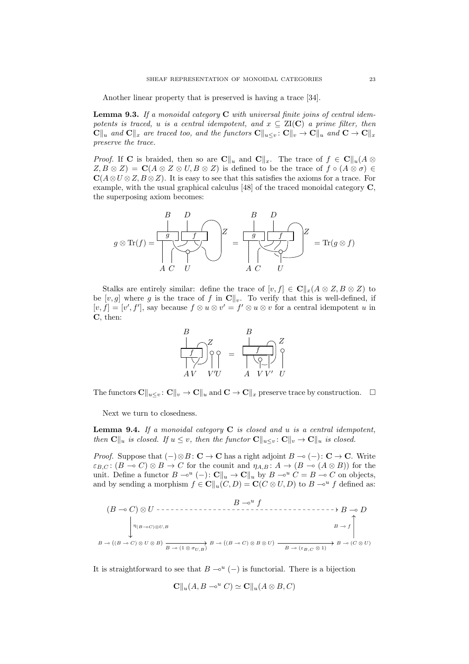Another linear property that is preserved is having a trace [\[34\]](#page-36-21).

**Lemma 9.3.** If a monoidal category  $C$  with universal finite joins of central idempotents is traced, u is a central idempotent, and  $x \subseteq \text{ZI}(\mathbf{C})$  a prime filter, then  $\mathbf{C}||_u$  and  $\mathbf{C}||_x$  are traced too, and the functors  $\mathbf{C}||_u\leq v : \mathbf{C}||_v \to \mathbf{C}||_u$  and  $\mathbf{C} \to \mathbf{C}||_x$ preserve the trace.

*Proof.* If C is braided, then so are  $\mathbf{C}\|_u$  and  $\mathbf{C}\|_x$ . The trace of  $f \in \mathbf{C}\|_u(A \otimes$  $Z, B \otimes Z$  =  $C(A \otimes Z \otimes U, B \otimes Z)$  is defined to be the trace of  $f \circ (A \otimes \sigma) \in$  $\mathbf{C}(A\otimes U\otimes Z, B\otimes Z)$ . It is easy to see that this satisfies the axioms for a trace. For example, with the usual graphical calculus [\[48\]](#page-37-1) of the traced monoidal category C, the superposing axiom becomes:



Stalks are entirely similar: define the trace of  $[v, f] \in \mathbb{C} ||_x(A \otimes Z, B \otimes Z)$  to be  $[v, g]$  where g is the trace of f in  $\mathbf{C}\Vert_v$ . To verify that this is well-defined, if  $[v, f] = [v', f'],$  say because  $f \otimes u \otimes v' = f' \otimes u \otimes v$  for a central idempotent u in C, then:



The functors  $C\|_{u\leq v} : C\|_{v} \to C\|_{u}$  and  $C \to C\|_{x}$  preserve trace by construction.  $\Box$ 

Next we turn to closedness.

<span id="page-22-0"></span>**Lemma 9.4.** If a monoidal category  $C$  is closed and u is a central idempotent, then  $\mathbf{C}||_u$  is closed. If  $u \leq v$ , then the functor  $\mathbf{C}||_{u \leq v} \colon \mathbf{C}||_v \to \mathbf{C}||_u$  is closed.

*Proof.* Suppose that  $(-)\otimes B: \mathbf{C} \to \mathbf{C}$  has a right adjoint  $B \multimap (-): \mathbf{C} \to \mathbf{C}$ . Write  $\varepsilon_{B,C}$ :  $(B \multimap C) \otimes B \to C$  for the counit and  $\eta_{A,B} : A \to (B \multimap (A \otimes B))$  for the unit. Define a functor  $B \to^u (-): \mathbf{C} \parallel_u \to \mathbf{C} \parallel_u$  by  $B \to^u C = B \to C$  on objects, and by sending a morphism  $f \in \mathbf{C} \parallel_u (C, D) = \mathbf{C} (C \otimes U, D)$  to  $B \multimap^u f$  defined as:

$$
(B \to C) \otimes U \dashrightarrow \dashrightarrow B \to 0
$$
\n
$$
\downarrow \eta_{(B \to C) \otimes U, B}
$$
\n
$$
B \to \left(\bigcap_{B \to C \otimes U \otimes B} B \to (B \otimes U) \otimes B \otimes U\right)
$$
\n
$$
\downarrow B \to \left(\bigcap_{B \to C \otimes U \otimes B} B \to (B \otimes U) \otimes B \otimes U\right)
$$
\n
$$
\xrightarrow{B \to \infty} B \to (C \otimes U)
$$

It is straightforward to see that  $B \rightarrow^{u} (-)$  is functorial. There is a bijection

$$
\mathbf{C} \| u(A, B - e^u C) \simeq \mathbf{C} \| u(A \otimes B, C)
$$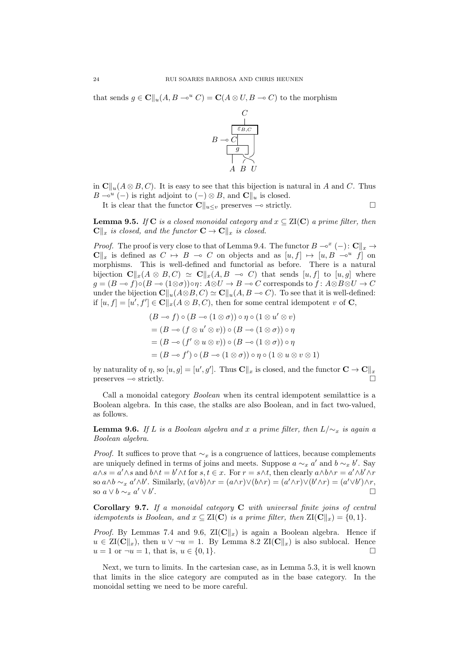that sends  $g \in \mathbb{C} \| u(A, B - \mathcal{C}) = \mathbb{C} (A \otimes U, B - \mathcal{C})$  to the morphism



in  $\mathbf{C}\Vert_{\mathcal{H}}(A\otimes B, C)$ . It is easy to see that this bijection is natural in A and C. Thus  $B \multimap u \in A$  is right adjoint to  $(-) \otimes B$ , and  $\mathbb{C} \parallel_u$  is closed.

It is clear that the functor  $\mathbf{C}\|_{u\leq v}$  preserves  $\multimap$  strictly.

<span id="page-23-2"></span>**Lemma 9.5.** If C is a closed monoidal category and  $x \subseteq \text{ZI(C)}$  a prime filter, then  $C\Vert_x$  is closed, and the functor  $C \to C\Vert_x$  is closed.

*Proof.* The proof is very close to that of Lemma [9.4.](#page-22-0) The functor  $B \multimap^{x} (-): \mathbb{C} \parallel_x \to$  $C\Vert_x$  is defined as  $C \mapsto B \multimap C$  on objects and as  $[u, f] \mapsto [u, B \multimap^u f]$  on morphisms. This is well-defined and functorial as before. There is a natural bijection  $\mathbf{C} \|_{x} (A \otimes B, C) \simeq \mathbf{C} \|_{x} (A, B \multimap C)$  that sends  $[u, f]$  to  $[u, g]$  where  $g = (B \to f) \circ (B \to (1 \otimes \sigma)) \circ \eta : A \otimes U \to B \to C$  corresponds to  $f : A \otimes B \otimes U \to C$ under the bijection  $\mathbf{C}||_u(A\otimes B, C) \simeq \mathbf{C}||_u(A, B \multimap C)$ . To see that it is well-defined: if  $[u, f] = [u', f'] \in \mathbf{C} \parallel_x (A \otimes B, C)$ , then for some central idempotent v of **C**,

$$
(B \to f) \circ (B \to (1 \otimes \sigma)) \circ \eta \circ (1 \otimes u' \otimes v)
$$
  
=  $(B \to (f \otimes u' \otimes v)) \circ (B \to (1 \otimes \sigma)) \circ \eta$   
=  $(B \to (f' \otimes u \otimes v)) \circ (B \to (1 \otimes \sigma)) \circ \eta$   
=  $(B \to f') \circ (B \to (1 \otimes \sigma)) \circ \eta \circ (1 \otimes u \otimes v \otimes 1)$ 

by naturality of  $\eta$ , so  $[u, g] = [u', g']$ . Thus  $\mathbf{C} \Vert_x$  is closed, and the functor  $\mathbf{C} \to \mathbf{C} \Vert_x$ preserves  $\sim$  strictly.

Call a monoidal category Boolean when its central idempotent semilattice is a Boolean algebra. In this case, the stalks are also Boolean, and in fact two-valued, as follows.

<span id="page-23-0"></span>**Lemma 9.6.** If L is a Boolean algebra and x a prime filter, then  $L/\sim_x$  is again a Boolean algebra.

*Proof.* It suffices to prove that  $\sim_x$  is a congruence of lattices, because complements are uniquely defined in terms of joins and meets. Suppose  $a \sim_x a'$  and  $b \sim_x b'$ . Say  $a \wedge s = a' \wedge s$  and  $b \wedge t = b' \wedge t$  for  $s, t \in x$ . For  $r = s \wedge t$ , then clearly  $a \wedge b \wedge r = a' \wedge b' \wedge r$ so  $a \wedge b \sim_x a' \wedge b'$ . Similarly,  $(a \vee b) \wedge r = (a \wedge r) \vee (b \wedge r) = (a' \wedge r) \vee (b' \wedge r) = (a' \vee b') \wedge r$ , so  $a \vee b \sim_x a' \vee b'$ .

<span id="page-23-1"></span>Corollary 9.7. If a monoidal category C with universal finite joins of central idempotents is Boolean, and  $x \subseteq \text{ZI}(\mathbf{C})$  is a prime filter, then  $\text{ZI}(\mathbf{C}\Vert_x) = \{0, 1\}.$ 

*Proof.* By Lemmas [7.4](#page-18-0) and [9.6,](#page-23-0)  $\mathbb{Z}[(\mathbb{C}\Vert_x)]$  is again a Boolean algebra. Hence if  $u \in \text{ZI}(\mathbf{C}||_x)$ , then  $u \vee \neg u = 1$ . By Lemma [8.2](#page-20-1)  $\text{ZI}(\mathbf{C}||_x)$  is also sublocal. Hence  $u = 1$  or  $\neg u = 1$ , that is,  $u \in \{0, 1\}.$ 

Next, we turn to limits. In the cartesian case, as in Lemma [5.3,](#page-11-0) it is well known that limits in the slice category are computed as in the base category. In the monoidal setting we need to be more careful.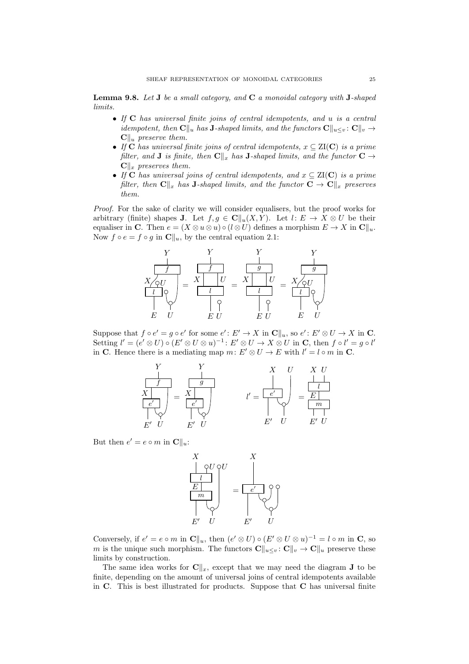**Lemma 9.8.** Let **J** be a small category, and  $C$  a monoidal category with **J**-shaped limits.

- If C has universal finite joins of central idempotents, and u is a central *idempotent, then*  $\mathbf{C}\|_{u}$  has J-shaped limits, and the functors  $\mathbf{C}\|_{u\leq v}$ :  $\mathbf{C}\|_{v} \rightarrow$  $C\|u\$  preserve them.
- If C has universal finite joins of central idempotents,  $x \subseteq ZI(C)$  is a prime filter, and **J** is finite, then  $\mathbf{C}\Vert_x$  has **J**-shaped limits, and the functor  $\mathbf{C} \rightarrow$  $\mathbf{C} \Vert_x$  preserves them.
- If C has universal joins of central idempotents, and  $x \subseteq ZI(C)$  is a prime filter, then  $\mathbf{C}\Vert_x$  has J-shaped limits, and the functor  $\mathbf{C} \to \mathbf{C}\Vert_x$  preserves them.

Proof. For the sake of clarity we will consider equalisers, but the proof works for arbitrary (finite) shapes **J**. Let  $f, g \in \mathbb{C}[[u(X, Y)]$ . Let  $l: E \to X \otimes U$  be their equaliser in C. Then  $e = (X \otimes u \otimes u) \circ (l \otimes U)$  defines a morphism  $E \to X$  in  $\mathbb{C}||_u$ . Now  $f \circ e = f \circ g$  in  $\mathbf{C} \parallel_u$ , by the central equation [2.1:](#page-2-0)



Suppose that  $f \circ e' = g \circ e'$  for some  $e' : E' \to X$  in  $\mathbb{C} \parallel_u$ , so  $e' : E' \otimes U \to X$  in  $\mathbb{C}$ . Setting  $l' = (e' \otimes U) \circ (E' \otimes U \otimes u)^{-1} : E' \otimes U \to X \otimes U$  in C, then  $f \circ l' = g \circ l'$ in C. Hence there is a mediating map  $m: E' \otimes U \to E$  with  $l' = l \circ m$  in C.



But then  $e' = e \circ m$  in  $\mathbf{C} \parallel_u :$ 



Conversely, if  $e' = e \circ m$  in  $\mathbf{C} \parallel_u$ , then  $(e' \otimes U) \circ (E' \otimes U \otimes u)^{-1} = l \circ m$  in  $\mathbf{C}$ , so m is the unique such morphism. The functors  $\mathbf{C}\|_{u\leq v} : \mathbf{C}\|_{v} \to \mathbf{C}\|_{u}$  preserve these limits by construction.

The same idea works for  $\mathbf{C}\Vert_x$ , except that we may need the diagram **J** to be finite, depending on the amount of universal joins of central idempotents available in C. This is best illustrated for products. Suppose that C has universal finite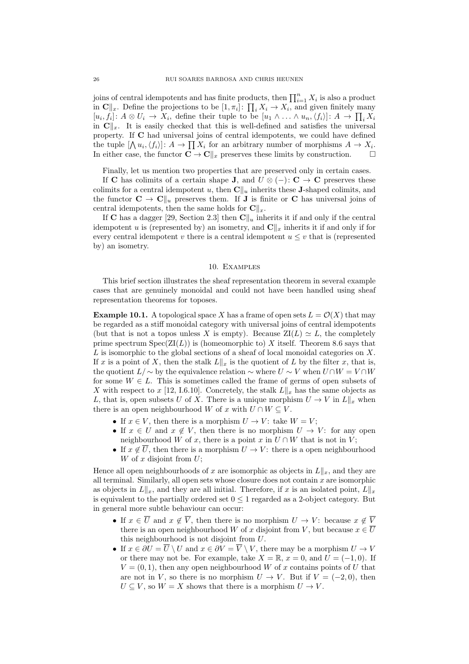joins of central idempotents and has finite products, then  $\prod_{i=1}^{n} X_i$  is also a product in  $\mathbf{C} \Vert_x$ . Define the projections to be  $[1, \pi_i]$ :  $\prod_i X_i \to X_i$ , and given finitely many  $[u_i, f_i]: A \otimes U_i \to X_i$ , define their tuple to be  $[u_1 \wedge \ldots \wedge u_n, \langle f_i \rangle]: A \to \prod_i X_i$ in  $\mathbf{C}\|_{x}$ . It is easily checked that this is well-defined and satisfies the universal property. If C had universal joins of central idempotents, we could have defined the tuple  $[\bigwedge u_i, \langle f_i \rangle]: A \to \prod X_i$  for an arbitrary number of morphisms  $A \to X_i$ . In either case, the functor  $\mathbf{C} \to \mathbf{C} \Vert_x$  preserves these limits by construction.  $\square$ 

Finally, let us mention two properties that are preserved only in certain cases.

If C has colimits of a certain shape J, and  $U \otimes (-): C \rightarrow C$  preserves these colimits for a central idempotent u, then  $\mathbf{C}\Vert_{u}$  inherits these **J**-shaped colimits, and the functor  $C \to C\|u\|$  preserves them. If **J** is finite or **C** has universal joins of central idempotents, then the same holds for  $\mathbf{C}\|_x$ .

If C has a dagger [\[29,](#page-36-8) Section 2.3] then  $\mathbb{C}\Vert_{u}$  inherits it if and only if the central idempotent u is (represented by) an isometry, and  $\mathbf{C}\|_x$  inherits it if and only if for every central idempotent v there is a central idempotent  $u \leq v$  that is (represented by) an isometry.

## 10. Examples

<span id="page-25-0"></span>This brief section illustrates the sheaf representation theorem in several example cases that are genuinely monoidal and could not have been handled using sheaf representation theorems for toposes.

<span id="page-25-1"></span>**Example 10.1.** A topological space X has a frame of open sets  $L = \mathcal{O}(X)$  that may be regarded as a stiff monoidal category with universal joins of central idempotents (but that is not a topos unless X is empty). Because  $ZI(L) \simeq L$ , the completely prime spectrum  $Spec(ZI(L))$  is (homeomorphic to) X itself. Theorem [8.6](#page-21-1) says that  $L$  is isomorphic to the global sections of a sheaf of local monoidal categories on  $X$ . If x is a point of X, then the stalk  $L\|_x$  is the quotient of L by the filter x, that is, the quotient  $L/\sim$  by the equivalence relation  $\sim$  where  $U\sim V$  when  $U\cap W=V\cap W$ for some  $W \in L$ . This is sometimes called the frame of germs of open subsets of X with respect to x [\[12,](#page-35-5) I.6.10]. Concretely, the stalk  $L\|_x$  has the same objects as L, that is, open subsets U of X. There is a unique morphism  $U \to V$  in  $L\|_x$  when there is an open neighbourhood W of x with  $U \cap W \subseteq V$ .

- If  $x \in V$ , then there is a morphism  $U \to V$ : take  $W = V$ ;
- If  $x \in U$  and  $x \notin V$ , then there is no morphism  $U \to V$ : for any open neighbourhood W of x, there is a point x in  $U \cap W$  that is not in V;
- If  $x \notin \overline{U}$ , then there is a morphism  $U \to V$ : there is a open neighbourhood W of  $x$  disjoint from  $U$ ;

Hence all open neighbourhoods of x are isomorphic as objects in  $L\Vert_x$ , and they are all terminal. Similarly, all open sets whose closure does not contain  $x$  are isomorphic as objects in  $L\|_x$ , and they are all initial. Therefore, if x is an isolated point,  $L\|_x$ is equivalent to the partially ordered set  $0 \leq 1$  regarded as a 2-object category. But in general more subtle behaviour can occur:

- If  $x \in \overline{U}$  and  $x \notin \overline{V}$ , then there is no morphism  $U \to V$ : because  $x \notin \overline{V}$ there is an open neighbourhood W of x disjoint from V, but because  $x \in \overline{U}$ this neighbourhood is not disjoint from U.
- If  $x \in \partial U = \overline{U} \setminus U$  and  $x \in \partial V = \overline{V} \setminus V$ , there may be a morphism  $U \to V$ or there may not be. For example, take  $X = \mathbb{R}$ ,  $x = 0$ , and  $U = (-1, 0)$ . If  $V = (0, 1)$ , then any open neighbourhood W of x contains points of U that are not in V, so there is no morphism  $U \to V$ . But if  $V = (-2, 0)$ , then  $U \subseteq V$ , so  $W = X$  shows that there is a morphism  $U \to V$ .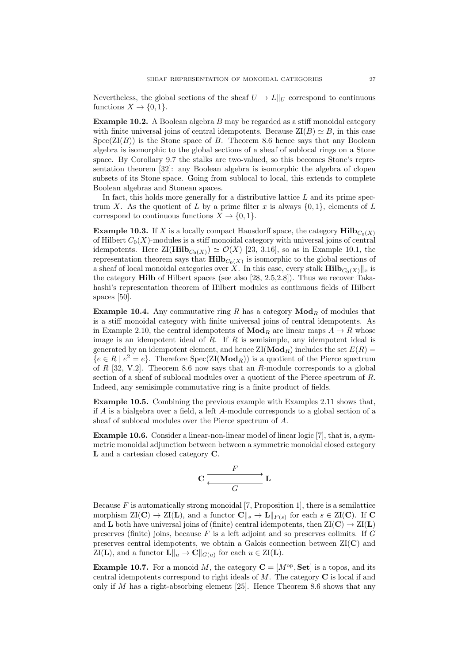Nevertheless, the global sections of the sheaf  $U \mapsto L||_U$  correspond to continuous functions  $X \to \{0, 1\}.$ 

Example 10.2. A Boolean algebra B may be regarded as a stiff monoidal category with finite universal joins of central idempotents. Because  $\mathbb{Z}I(B) \simeq B$ , in this case  $Spec(ZI(B))$  is the Stone space of B. Theorem [8.6](#page-21-1) hence says that any Boolean algebra is isomorphic to the global sections of a sheaf of sublocal rings on a Stone space. By Corollary [9.7](#page-23-1) the stalks are two-valued, so this becomes Stone's representation theorem [\[32\]](#page-36-4): any Boolean algebra is isomorphic the algebra of clopen subsets of its Stone space. Going from sublocal to local, this extends to complete Boolean algebras and Stonean spaces.

In fact, this holds more generally for a distributive lattice  $L$  and its prime spectrum X. As the quotient of L by a prime filter x is always  $\{0, 1\}$ , elements of L correspond to continuous functions  $X \to \{0, 1\}.$ 

**Example 10.3.** If X is a locally compact Hausdorff space, the category  $\text{Hilb}_{C_0(X)}$ of Hilbert  $C_0(X)$ -modules is a stiff monoidal category with universal joins of central idempotents. Here  $\text{ZI}(\text{Hilb}_{C_0(X)}) \simeq \mathcal{O}(X)$  [\[23,](#page-36-3) 3.16], so as in Example [10.1,](#page-25-1) the representation theorem says that  $\text{Hilb}_{C_0(X)}$  is isomorphic to the global sections of a sheaf of local monoidal categories over X. In this case, every stalk  $\textbf{Hilb}_{C_0(X)}||_x$  is the category Hilb of Hilbert spaces (see also [\[28,](#page-36-7) 2.5,2.8]). Thus we recover Takahashi's representation theorem of Hilbert modules as continuous fields of Hilbert spaces [\[50\]](#page-37-2).

**Example 10.4.** Any commutative ring R has a category  $\mathbf{Mod}_R$  of modules that is a stiff monoidal category with finite universal joins of central idempotents. As in Example [2.10,](#page-6-1) the central idempotents of  $\mathbf{Mod}_R$  are linear maps  $A \to R$  whose image is an idempotent ideal of  $R$ . If  $R$  is semisimple, any idempotent ideal is generated by an idempotent element, and hence  $ZI(\text{Mod}_R)$  includes the set  $E(R)$  ${e \in R \mid e^2 = e}.$  Therefore  $Spec(ZI(\text{Mod}_R))$  is a quotient of the Pierce spectrum of  $R$  [\[32,](#page-36-4) V.2]. Theorem [8.6](#page-21-1) now says that an  $R$ -module corresponds to a global section of a sheaf of sublocal modules over a quotient of the Pierce spectrum of R. Indeed, any semisimple commutative ring is a finite product of fields.

Example 10.5. Combining the previous example with Examples [2.11](#page-6-3) shows that, if A is a bialgebra over a field, a left A-module corresponds to a global section of a sheaf of sublocal modules over the Pierce spectrum of A.

<span id="page-26-0"></span>Example 10.6. Consider a linear-non-linear model of linear logic [\[7\]](#page-35-6), that is, a symmetric monoidal adjunction between between a symmetric monoidal closed category L and a cartesian closed category C.

$$
\mathbf{C} \xrightarrow[\begin{array}{c} \begin{array}{c} F \\ \hline \end{array}]{C} \mathbf{L} \xrightarrow[\begin{array}{c} \begin{array}{c} \hline \end{array}]{C} \mathbf{C} \end{array}
$$

Because  $F$  is automatically strong monoidal [\[7,](#page-35-6) Proposition 1], there is a semilattice morphism  $\mathbb{Z}I(C) \to \mathbb{Z}I(L)$ , and a functor  $C\|_{s} \to L\|_{F(s)}$  for each  $s \in \mathbb{Z}I(C)$ . If C and **L** both have universal joins of (finite) central idempotents, then  $ZI(\mathbf{C}) \to ZI(\mathbf{L})$ preserves (finite) joins, because  $F$  is a left adjoint and so preserves colimits. If  $G$ preserves central idempotents, we obtain a Galois connection between ZI(C) and  $\text{ZI}(\mathbf{L})$ , and a functor  $\mathbf{L} \Vert_u \to \mathbf{C} \Vert_{G(u)}$  for each  $u \in \text{ZI}(\mathbf{L})$ .

**Example 10.7.** For a monoid M, the category  $C = [M^{\text{op}}, \text{Set}]$  is a topos, and its central idempotents correspond to right ideals of  $M$ . The category  $C$  is local if and only if  $M$  has a right-absorbing element [\[25\]](#page-36-22). Hence Theorem [8.6](#page-21-1) shows that any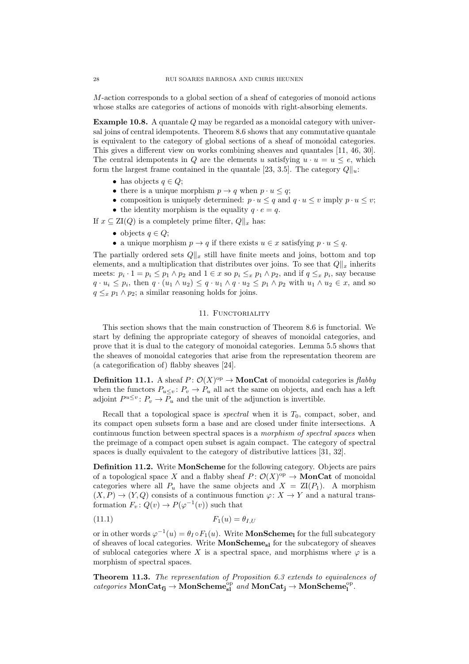M-action corresponds to a global section of a sheaf of categories of monoid actions whose stalks are categories of actions of monoids with right-absorbing elements.

Example 10.8. A quantale Q may be regarded as a monoidal category with universal joins of central idempotents. Theorem [8.6](#page-21-1) shows that any commutative quantale is equivalent to the category of global sections of a sheaf of monoidal categories. This gives a different view on works combining sheaves and quantales [\[11,](#page-35-7) [46,](#page-36-23) [30\]](#page-36-24). The central idempotents in Q are the elements u satisfying  $u \cdot u = u \leq e$ , which form the largest frame contained in the quantale [\[23,](#page-36-3) 3.5]. The category  $Q\|_u$ :

- has objects  $q \in Q$ ;
- there is a unique morphism  $p \to q$  when  $p \cdot u \leq q$ ;
- composition is uniquely determined:  $p \cdot u \leq q$  and  $q \cdot u \leq v$  imply  $p \cdot u \leq v$ ;
- the identity morphism is the equality  $q \cdot e = q$ .

If  $x \subseteq \text{ZI}(Q)$  is a completely prime filter,  $Q\|_x$  has:

- objects  $q \in Q$ ;
- a unique morphism  $p \to q$  if there exists  $u \in x$  satisfying  $p \cdot u \leq q$ .

The partially ordered sets  $Q\|_x$  still have finite meets and joins, bottom and top elements, and a multiplication that distributes over joins. To see that  $Q\|_x$  inherits meets:  $p_i \cdot 1 = p_i \leq p_1 \wedge p_2$  and  $1 \in x$  so  $p_i \leq_x p_1 \wedge p_2$ , and if  $q \leq_x p_i$ , say because  $q \cdot u_i \leq p_i$ , then  $q \cdot (u_1 \wedge u_2) \leq q \cdot u_1 \wedge q \cdot u_2 \leq p_1 \wedge p_2$  with  $u_1 \wedge u_2 \in x$ , and so  $q \leq_x p_1 \wedge p_2$ ; a similar reasoning holds for joins.

## 11. FUNCTORIALITY

<span id="page-27-0"></span>This section shows that the main construction of Theorem [8.6](#page-21-1) is functorial. We start by defining the appropriate category of sheaves of monoidal categories, and prove that it is dual to the category of monoidal categories. Lemma [5.5](#page-12-1) shows that the sheaves of monoidal categories that arise from the representation theorem are (a categorification of) flabby sheaves [\[24\]](#page-36-25).

**Definition 11.1.** A sheaf  $P: \mathcal{O}(X) \to \mathbf{MonCat}$  of monoidal categories is flabby when the functors  $P_{u\leq v}: P_v \to P_u$  all act the same on objects, and each has a left adjoint  $P^{u\leq v}$ :  $P_v \to P_u$  and the unit of the adjunction is invertible.

Recall that a topological space is *spectral* when it is  $T_0$ , compact, sober, and its compact open subsets form a base and are closed under finite intersections. A continuous function between spectral spaces is a morphism of spectral spaces when the preimage of a compact open subset is again compact. The category of spectral spaces is dually equivalent to the category of distributive lattices [\[31,](#page-36-26) [32\]](#page-36-4).

Definition 11.2. Write MonScheme for the following category. Objects are pairs of a topological space X and a flabby sheaf  $P: \mathcal{O}(X)^\text{op} \to \mathbf{MonCat}$  of monoidal categories where all  $P_u$  have the same objects and  $X = ZI(P_1)$ . A morphism  $(X, P) \to (Y, Q)$  consists of a continuous function  $\varphi \colon X \to Y$  and a natural transformation  $F_v: Q(v) \to P(\varphi^{-1}(v))$  such that

<span id="page-27-1"></span>
$$
(11.1) \t\t F_1(u) = \theta_{I,U}
$$

or in other words  $\varphi^{-1}(u) = \theta_I \circ F_1(u)$ . Write **MonScheme**<sub>l</sub> for the full subcategory of sheaves of local categories. Write MonSchemesl for the subcategory of sheaves of sublocal categories where X is a spectral space, and morphisms where  $\varphi$  is a morphism of spectral spaces.

Theorem 11.3. The representation of Proposition [6.3](#page-17-1) extends to equivalences of  $\textit{categories } \textbf{MonCat}_{\textbf{fj}} \rightarrow \textbf{MonScheme}_{\textbf{sl}}^{\text{op}} \textit{ and } \textbf{MonCat}_{\textbf{j}} \rightarrow \textbf{MonScheme}_{\textbf{l}}^{\text{op}}.$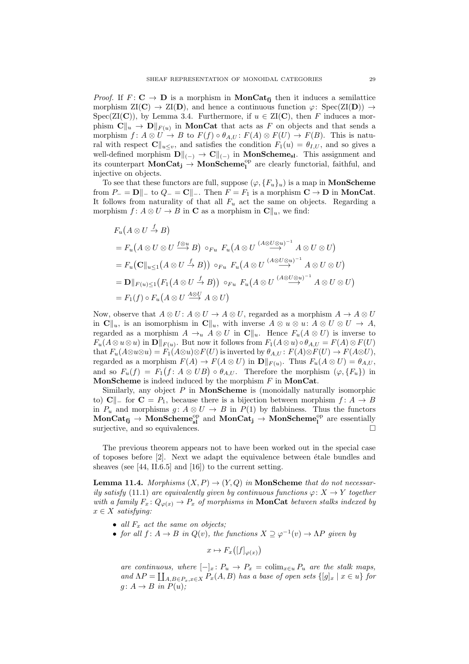*Proof.* If  $F: \mathbf{C} \to \mathbf{D}$  is a morphism in **MonCat**<sub>fi</sub> then it induces a semilattice morphism  $\mathrm{ZI}(\mathbf{C}) \to \mathrm{ZI}(\mathbf{D})$ , and hence a continuous function  $\varphi \colon \mathrm{Spec}(\mathrm{ZI}(\mathbf{D})) \to$ Spec(ZI(C)), by Lemma [3.4.](#page-9-1) Furthermore, if  $u \in ZI(C)$ , then F induces a morphism  $\mathbf{C} \Vert_u \to \mathbf{D} \Vert_{F(u)}$  in MonCat that acts as F on objects and that sends a morphism  $f: A \otimes U \to B$  to  $F(f) \circ \theta_{A,U} : F(A) \otimes F(U) \to F(B)$ . This is natural with respect  $\mathbf{C}\|_{u\leq v}$ , and satisfies the condition  $F_1(u) = \theta_{I,U}$ , and so gives a well-defined morphism  $\mathbf{D}\Vert_{(-)} \to \mathbf{C}\Vert_{(-)}$  in MonScheme<sub>sl</sub>. This assignment and its counterpart  $MonCat_j \rightarrow MonScheme_l^{\rm op}$  are clearly functorial, faithful, and injective on objects.

To see that these functors are full, suppose  $(\varphi, \{F_u\}_u)$  is a map in **MonScheme** from  $P_-=\mathbf{D}\Vert_{-}$  to  $Q_-=\mathbf{C}\Vert_{-}$ . Then  $F=F_1$  is a morphism  $\mathbf{C}\to\mathbf{D}$  in MonCat. It follows from naturality of that all  $F_u$  act the same on objects. Regarding a morphism  $f: A \otimes U \to B$  in **C** as a morphism in  $\mathbb{C}||_u$ , we find:

$$
F_u(A \otimes U \xrightarrow{f} B)
$$
  
=  $F_u(A \otimes U \otimes U \xrightarrow{f \otimes u} B) \circ_{Fu} F_u(A \otimes U \xrightarrow{(A \otimes U \otimes u)^{-1}} A \otimes U \otimes U)$   
=  $F_u(C||_{u \le 1}(A \otimes U \xrightarrow{f} B)) \circ_{Fu} F_u(A \otimes U \xrightarrow{(A \otimes U \otimes u)^{-1}} A \otimes U \otimes U)$   
=  $\mathbf{D}||_{F(u) \le 1}(F_1(A \otimes U \xrightarrow{f} B)) \circ_{Fu} F_u(A \otimes U \xrightarrow{(A \otimes U \otimes u)^{-1}} A \otimes U \otimes U)$   
=  $F_1(f) \circ F_u(A \otimes U \xrightarrow{A \otimes U} A \otimes U)$ 

Now, observe that  $A \otimes U : A \otimes U \rightarrow A \otimes U$ , regarded as a morphism  $A \rightarrow A \otimes U$ in  $\mathbf{C}\|u$ , is an isomorphism in  $\mathbf{C}\|u$ , with inverse  $A \otimes u \otimes u: A \otimes U \otimes U \to A$ , regarded as a morphism  $A \to_u A \otimes U$  in  $\mathbb{C}||_u$ . Hence  $F_u(A \otimes U)$  is inverse to  $F_u(A \otimes u \otimes u)$  in  $\mathbf{D} \Vert_{F(u)}$ . But now it follows from  $F_1(A \otimes u) \circ \theta_{A,U} = F(A) \otimes F(U)$ that  $F_u(A\otimes u\otimes u) = F_1(A\otimes u)\otimes F(U)$  is inverted by  $\theta_{A,U}: F(A)\otimes F(U) \to F(A\otimes U)$ , regarded as a morphism  $F(A) \to F(A \otimes U)$  in  $\mathbf{D} \Vert_{F(u)}$ . Thus  $F_u(A \otimes U) = \theta_{A,U}$ , and so  $F_u(f) = F_1(f: A \otimes UB) \circ \theta_{A,U}$ . Therefore the morphism  $(\varphi, \{F_u\})$  in **MonScheme** is indeed induced by the morphism  $F$  in **MonCat**.

Similarly, any object  $P$  in **MonScheme** is (monoidally naturally isomorphic to) C $\Vert$  for C =  $P_1$ , because there is a bijection between morphism  $f: A \rightarrow B$ in  $P_u$  and morphisms  $g: A \otimes U \to B$  in  $P(1)$  by flabbiness. Thus the functors  $MonCat_{fj} \rightarrow MonScheme^{op}_{sl}$  and  $MonCat_{j} \rightarrow MonScheme^{op}_{l}$  are essentially surjective, and so equivalences.

The previous theorem appears not to have been worked out in the special case of toposes before  $[2]$ . Next we adapt the equivalence between étale bundles and sheaves (see [\[44,](#page-36-2) II.6.5] and [\[16\]](#page-36-27)) to the current setting.

**Lemma 11.4.** Morphisms  $(X, P) \rightarrow (Y, Q)$  in **MonScheme** that do not necessar-ily satisfy [\(11.1\)](#page-27-1) are equivalently given by continuous functions  $\varphi \colon X \to Y$  together with a family  $F_x \colon Q_{\varphi(x)} \to P_x$  of morphisms in **MonCat** between stalks indexed by  $x \in X$  satisfying:

- all  $F<sub>x</sub>$  act the same on objects;
- for all  $f: A \to B$  in  $Q(v)$ , the functions  $X \supseteq \varphi^{-1}(v) \to \Lambda P$  given by

 $x \mapsto F_x([f]_{\varphi(x)})$ 

are continuous, where  $[-]_x: P_u \to P_x = \text{colim}_{x \in u} P_u$  are the stalk maps, and  $\Lambda P = \coprod_{A,B \in P_x, x \in X} P_x(A,B)$  has a base of open sets  $\{[g]_x \mid x \in u\}$  for  $g: A \to B$  in  $P(u)$ ;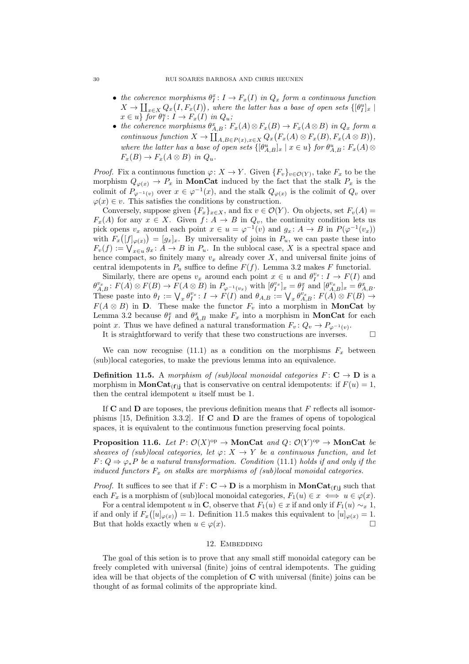#### 30 RUI SOARES BARBOSA AND CHRIS HEUNEN

- the coherence morphisms  $\theta_I^x: I \to F_x(I)$  in  $Q_x$  form a continuous function  $X \to \coprod_{x \in X} Q_x(I, F_x(I)),$  where the latter has a base of open sets  $\{[\theta_I^u]_x \mid$  $x \in u$  for  $\theta_I^u : I \to F_x(I)$  in  $Q_u$ ;
- the coherence morphisms  $\theta_{A,B}^x : F_x(A) \otimes F_x(B) \to F_x(A \otimes B)$  in  $Q_x$  form a continuous function  $X \to \coprod_{A,B \in P(x), x \in X} Q_x(F_x(A) \otimes F_x(B), F_x(A \otimes B)),$ where the latter has a base of open sets  $\{[\theta_{A,B}^u]_x \mid x \in u\}$  for  $\theta_{A,B}^u$ :  $F_x(A)$   $\otimes$  $F_x(B) \to F_x(A \otimes B)$  in  $Q_u$ .

*Proof.* Fix a continuous function  $\varphi: X \to Y$ . Given  $\{F_v\}_{v \in \mathcal{O}(Y)}$ , take  $F_x$  to be the morphism  $Q_{\varphi(x)} \to P_x$  in **MonCat** induced by the fact that the stalk  $P_x$  is the colimit of  $P_{\varphi^{-1}(v)}$  over  $x \in \varphi^{-1}(x)$ , and the stalk  $Q_{\varphi(x)}$  is the colimit of  $Q_v$  over  $\varphi(x) \in v$ . This satisfies the conditions by construction.

Conversely, suppose given  ${F_x}_{x \in X}$ , and fix  $v \in \mathcal{O}(Y)$ . On objects, set  $F_v(A)$  $F_x(A)$  for any  $x \in X$ . Given  $f: A \to B$  in  $Q_v$ , the continuity condition lets us pick opens  $v_x$  around each point  $x \in u = \varphi^{-1}(v)$  and  $g_x: A \to B$  in  $P(\varphi^{-1}(v_x))$ with  $F_x([f]_{\varphi(x)}) = [g_x]_x$ . By universality of joins in  $P_u$ , we can paste these into  $F_v(f) := \bigvee_{x \in u} g_x \colon A \to B$  in  $P_u$ . In the sublocal case, X is a spectral space and hence compact, so finitely many  $v_x$  already cover X, and universal finite joins of central idempotents in  $P_u$  suffice to define  $F(f)$ . Lemma [3.2](#page-8-0) makes F functorial.

Similarly, there are opens  $v_x$  around each point  $x \in u$  and  $\theta_I^{v_x} : I \to F(I)$  and  $\theta_{A,B}^{v_x} : F(A) \otimes F(B) \to F(A \otimes B)$  in  $P_{\varphi^{-1}(v_x)}$  with  $[\theta_I^{v_x}]_x = \theta_I^x$  and  $[\theta_{A,B}^{v_x}]_x = \theta_{A,B}^x$ . These paste into  $\theta_I := \bigvee_x \theta_I^{v_x} : I \to F(I)$  and  $\theta_{A,B} := \bigvee_x \theta_{A,B}^{v_x} : F(A) \otimes F(B) \to$  $F(A \otimes B)$  in **D**. These make the functor  $F_v$  into a morphism in **MonCat** by Lemma [3.2](#page-8-0) because  $\theta_I^x$  and  $\theta_{A,B}^x$  make  $F_x$  into a morphism in **MonCat** for each point x. Thus we have defined a natural transformation  $F_v: Q_v \to P_{\varphi^{-1}(v)}$ .

It is straightforward to verify that these two constructions are inverses.  $\Box$ 

We can now recognise [\(11.1\)](#page-27-1) as a condition on the morphisms  $F_x$  between (sub)local categories, to make the previous lemma into an equivalence.

<span id="page-29-1"></span>**Definition 11.5.** A morphism of (sub)local monoidal categories  $F: \mathbb{C} \to \mathbb{D}$  is a morphism in  $\text{MonCat}_{(f)}$  that is conservative on central idempotents: if  $F(u) = 1$ , then the central idempotent  $u$  itself must be 1.

If  $C$  and  $D$  are toposes, the previous definition means that  $F$  reflects all isomorphisms [\[15,](#page-36-28) Definition 3.3.2]. If C and D are the frames of opens of topological spaces, it is equivalent to the continuous function preserving focal points.

**Proposition 11.6.** Let  $P: \mathcal{O}(X)^\text{op} \to \text{MonCat}$  and  $Q: \mathcal{O}(Y)^\text{op} \to \text{MonCat}$  be sheaves of (sub)local categories, let  $\varphi: X \to Y$  be a continuous function, and let  $F: Q \Rightarrow \varphi_* P$  be a natural transformation. Condition [\(11.1\)](#page-27-1) holds if and only if the induced functors  $F_x$  on stalks are morphisms of (sub)local monoidal categories.

*Proof.* It suffices to see that if  $F: \mathbf{C} \to \mathbf{D}$  is a morphism in  $\mathbf{MonCat}_{(f)j}$  such that each  $F_x$  is a morphism of (sub)local monoidal categories,  $F_1(u) \in x \iff u \in \varphi(x)$ .

For a central idempotent u in C, observe that  $F_1(u) \in x$  if and only if  $F_1(u) \sim_x 1$ , if and only if  $F_x([u]_{\varphi(x)}) = 1$ . Definition [11.5](#page-29-1) makes this equivalent to  $[u]_{\varphi(x)} = 1$ . But that holds exactly when  $u \in \varphi(x)$ .

### 12. EMBEDDING

<span id="page-29-0"></span>The goal of this setion is to prove that any small stiff monoidal category can be freely completed with universal (finite) joins of central idempotents. The guiding idea will be that objects of the completion of C with universal (finite) joins can be thought of as formal colimits of the appropriate kind.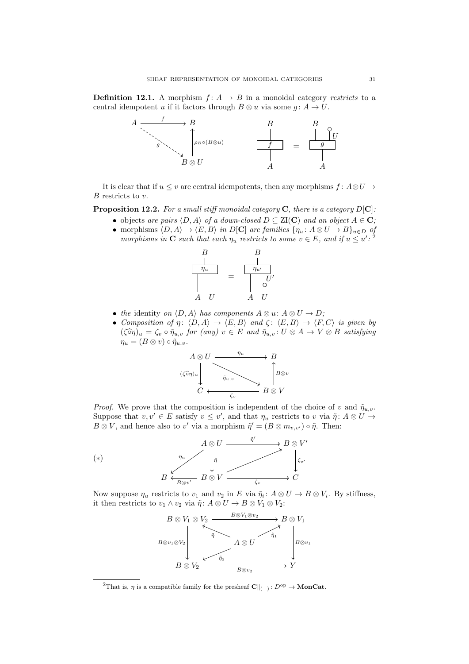**Definition 12.1.** A morphism  $f: A \rightarrow B$  in a monoidal category restricts to a central idempotent u if it factors through  $B \otimes u$  via some  $q: A \rightarrow U$ .



It is clear that if  $u \leq v$  are central idempotents, then any morphisms  $f: A \otimes U \rightarrow$  $B$  restricts to  $v$ .

**Proposition 12.2.** For a small stiff monoidal category  $C$ , there is a category  $D[C]$ :

- objects are pairs  $\langle D, A \rangle$  of a down-closed  $D \subseteq \text{ZI}(\mathbf{C})$  and an object  $A \in \mathbf{C}$ ;
- morphisms  $(D, A) \rightarrow \langle E, B \rangle$  in D[C] are families  $\{\eta_u : A \otimes U \rightarrow B\}_{u \in D}$  of morphisms in **C** such that each  $\eta_u$  restricts to some  $v \in E$ , and if  $u \leq u'$ : <sup>[2](#page-30-0)</sup>



- the identity on  $\langle D, A \rangle$  has components  $A \otimes u: A \otimes U \to D;$
- Composition of  $\eta: \langle D, A \rangle \to \langle E, B \rangle$  and  $\zeta: \langle E, B \rangle \to \langle F, C \rangle$  is given by  $(\widehat{\varsigma} \widehat{\eta})_u = \zeta_v \circ \widetilde{\eta}_{u,v}$  for (any)  $v \in E$  and  $\widetilde{\eta}_{u,v} : U \otimes A \to V \otimes B$  satisfying  $\eta_u = (B \otimes v) \circ \tilde{\eta}_{u,v}.$



*Proof.* We prove that the composition is independent of the choice of v and  $\tilde{\eta}_{u,v}$ . Suppose that  $v, v' \in E$  satisfy  $v \leq v'$ , and that  $\eta_u$  restricts to v via  $\tilde{\eta}$ :  $A \otimes U \rightarrow$  $B \otimes V$ , and hence also to v' via a morphism  $\tilde{\eta}' = (B \otimes m_{v,v'}) \circ \tilde{\eta}$ . Then:

<span id="page-30-1"></span>

Now suppose  $\eta_u$  restricts to  $v_1$  and  $v_2$  in E via  $\tilde{\eta}_i$ :  $A \otimes U \to B \otimes V_i$ . By stiffness, it then restricts to  $v_1 \wedge v_2$  via  $\tilde{\eta}$ :  $A \otimes U \to B \otimes V_1 \otimes V_2$ :



<span id="page-30-0"></span><sup>&</sup>lt;sup>2</sup>That is,  $\eta$  is a compatible family for the presheaf  $\mathbf{C}\|_{(-)}\colon D^{\mathrm{op}} \to \mathbf{MonCat}$ .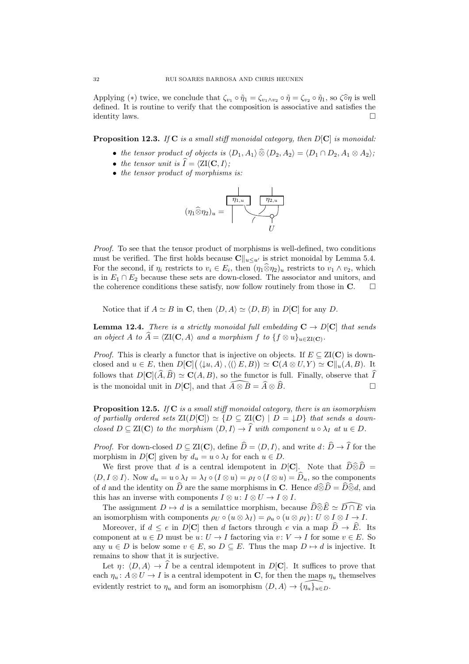Applying (\*) twice, we conclude that  $\zeta_{v_1} \circ \tilde{\eta}_1 = \zeta_{v_1 \wedge v_2} \circ \tilde{\eta} = \zeta_{v_2} \circ \tilde{\eta}_1$ , so  $\zeta \circ \tilde{\eta}$  is well defined. It is routine to verify that the composition is associative and satisfies the identity laws.

**Proposition 12.3.** If C is a small stiff monoidal category, then  $D[\mathbf{C}]$  is monoidal:

- the tensor product of objects is  $\langle D_1, A_1 \rangle \widehat{\otimes} \langle D_2, A_2 \rangle = \langle D_1 \cap D_2, A_1 \otimes A_2 \rangle$ ;
- the tensor unit is  $\hat{I} = \langle \mathbf{Z} \mathbf{I}(\mathbf{C}, I) \rangle$ :
- the tensor product of morphisms is:



Proof. To see that the tensor product of morphisms is well-defined, two conditions must be verified. The first holds because  $\mathbf{C}\|_{u\leq u'}$  is strict monoidal by Lemma [5.4.](#page-12-0) For the second, if  $\eta_i$  restricts to  $v_i \in E_i$ , then  $(\eta_1 \hat{\otimes} \eta_2)_u$  restricts to  $v_1 \wedge v_2$ , which is in  $E_1 \cap E_2$  because these sets are down-closed. The associator and unitors, and the coherence conditions these satisfy, now follow routinely from those in  $\mathbf{C}$ .  $\Box$ 

Notice that if  $A \simeq B$  in C, then  $\langle D, A \rangle \simeq \langle D, B \rangle$  in D[C] for any D.

<span id="page-31-1"></span>**Lemma 12.4.** There is a strictly monoidal full embedding  $C \rightarrow D[C]$  that sends an object A to  $A = \langle \text{ZI}(\mathbf{C}, A) \rangle$  and a morphism f to  $\{f \otimes u\}_{u \in \text{ZI}(\mathbf{C})}$ .

*Proof.* This is clearly a functor that is injective on objects. If  $E \subseteq \text{ZI}(\mathbf{C})$  is downclosed and  $u \in E$ , then  $D[\mathbf{C}] (\langle \downarrow u, A \rangle, \langle (\rangle E, B)) \simeq \mathbf{C}(A \otimes U, Y) \simeq \mathbf{C} ||_u(A, B)$ . It follows that  $D[\mathbf{C}](\widehat{A}, \widehat{B}) \simeq \mathbf{C}(A, B)$ , so the functor is full. Finally, observe that  $\widehat{I}$  is the monoidal unit in  $D[\mathbf{C}]$ , and that  $\widehat{A} \otimes \widehat{B} = \widehat{A} \otimes \widehat{B}$ . is the monoidal unit in D[C], and that  $\widehat{A\otimes B} = \widehat{A}\otimes \widehat{B}$ .

<span id="page-31-0"></span>**Proposition 12.5.** If  $C$  is a small stiff monoidal category, there is an isomorphism of partially ordered sets  $\mathrm{ZI}(D[\mathbf{C}]) \simeq \{D \subseteq \mathrm{ZI}(\mathbf{C}) \mid D = \downarrow D\}$  that sends a downclosed  $D \subseteq \text{ZI}(\mathbf{C})$  to the morphism  $\langle D, I \rangle \to \widehat{I}$  with component  $u \circ \lambda_I$  at  $u \in D$ .

*Proof.* For down-closed  $D \subseteq \text{ZI}(\mathbf{C})$ , define  $\widehat{D} = \langle D, I \rangle$ , and write  $d: \widehat{D} \to \widehat{I}$  for the morphism in  $D[\mathbf{C}]$  given by  $d_u = u \circ \lambda_I$  for each  $u \in D$ .

We first prove that d is a central idempotent in  $D[\mathbf{C}]$ . Note that  $\widehat{D}\widehat{\otimes}\widehat{D}$  =  $\langle D, I \otimes I \rangle$ . Now  $d_u = u \circ \lambda_I = \lambda_I \circ (I \otimes u) = \rho_I \circ (I \otimes u) = \widehat{D}_u$ , so the components of d and the identity on  $\hat{D}$  are the same morphisms in **C**. Hence  $d\hat{\otimes}\hat{D} = \hat{D}\hat{\otimes}d$ , and this has an inverse with components  $I \otimes u: I \otimes U \to I \otimes I$ .

The assignment  $D \mapsto d$  is a semilattice morphism, because  $\widehat{D} \widehat{\otimes} \widehat{E} \simeq \widehat{D \cap E}$  via an isomorphism with components  $\rho_U \circ (u \otimes \lambda_I) = \rho_u \circ (u \otimes \rho_I) : U \otimes I \otimes I \to I$ .

Moreover, if  $d \leq e$  in  $D[\mathbf{C}]$  then d factors through e via a map  $\widehat{D} \to \widehat{E}$ . Its component at  $u \in D$  must be  $u: U \to I$  factoring via  $v: V \to I$  for some  $v \in E$ . So any  $u \in D$  is below some  $v \in E$ , so  $D \subseteq E$ . Thus the map  $D \mapsto d$  is injective. It remains to show that it is surjective.

Let  $\eta: \langle D, A \rangle \to \widehat{I}$  be a central idempotent in D[C]. It suffices to prove that each  $\eta_u: A \otimes U \to I$  is a central idempotent in **C**, for then the maps  $\eta_u$  themselves evidently restrict to  $\eta_u$  and form an isomorphism  $\langle D, A \rangle \rightarrow {\eta_u}_{u \in D}$ .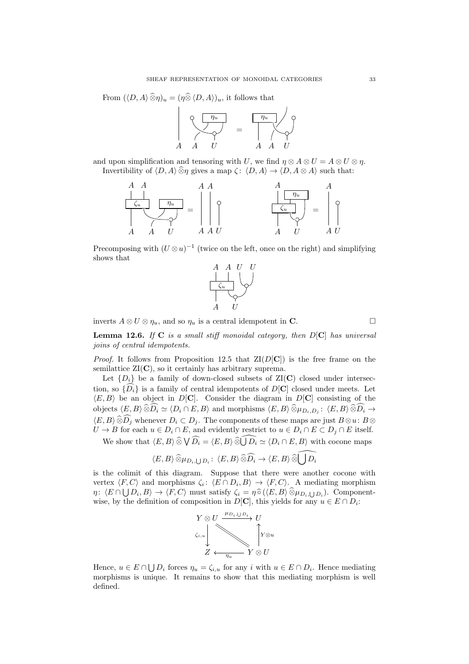From 
$$
(\langle D, A \rangle \widehat{\otimes} \eta)_u = (\eta \widehat{\otimes} \langle D, A \rangle)_u
$$
, it follows that



and upon simplification and tensoring with U, we find  $n \otimes A \otimes U = A \otimes U \otimes n$ . Invertibility of  $\langle D, A \rangle \widehat{\otimes} \eta$  gives a map  $\zeta : \langle D, A \rangle \rightarrow \langle D, A \otimes A \rangle$  such that:



Precomposing with  $(U \otimes u)^{-1}$  (twice on the left, once on the right) and simplifying shows that



inverts  $A \otimes U \otimes \eta_u$ , and so  $\eta_u$  is a central idempotent in **C**.

<span id="page-32-0"></span>**Lemma 12.6.** If  $C$  is a small stiff monoidal category, then  $D[C]$  has universal joins of central idempotents.

*Proof.* It follows from Proposition [12.5](#page-31-0) that  $ZI(D[{\bf C}])$  is the free frame on the semilattice  $ZI(C)$ , so it certainly has arbitrary suprema.

Let  $\{D_i\}$  be a family of down-closed subsets of  $ZI(C)$  closed under intersection, so  $\{\widehat{D_i}\}\$ is a family of central idempotents of  $D[\mathbf{C}]$  closed under meets. Let  $\langle E, B \rangle$  be an object in D[C]. Consider the diagram in D[C] consisting of the objects  $\langle E, B \rangle \widehat{\otimes} D_i \simeq \langle D_i \cap E, B \rangle$  and morphisms  $\langle E, B \rangle \widehat{\otimes} \mu_{D_i,D_j} : \langle E, B \rangle \widehat{\otimes} D_i \to$  $\langle E, B \rangle \widehat{\otimes} D_j$  whenever  $D_i \subset D_j$ . The components of these maps are just  $B \otimes u : B \otimes U \to B$  for each  $u \in D_i \cap E$ , and evidently restrict to  $u \in D_i \cap E \subset D_j \cap E$  itself.

We show that  $\langle E, B \rangle \widehat{\otimes} \bigvee \widehat{D_i} = \langle E, B \rangle \widehat{\otimes} \widehat{\bigcup D_i} \simeq \langle D_i \cap E, B \rangle$  with cocone maps

$$
\langle E,B\rangle\, \widehat{\otimes}\mu_{D_i,\bigcup D_i}\colon\, \langle E,B\rangle\, \widehat{\otimes}\widehat{D_i} \to \langle E,B\rangle\, \widehat{\otimes}\widehat{\bigcup D_i}
$$

is the colimit of this diagram. Suppose that there were another cocone with vertex  $\langle F, C \rangle$  and morphisms  $\zeta_i: \langle E \cap D_i, B \rangle \to \langle F, C \rangle$ . A mediating morphism  $\eta: \langle E \cap \bigcup D_i, B \rangle \to \langle F, C \rangle$  must satisfy  $\zeta_i = \eta \widehat{\circ} (\langle E, B \rangle \widehat{\otimes} \mu_{D_i, \bigcup D_i})$ . Component-<br>wise by the definition of composition in DICl, this violed for any  $u \in F \cap D$ . wise, by the definition of composition in  $D[\mathbf{C}]$ , this yields for any  $u \in E \cap D_i$ :



Hence,  $u \in E \cap \bigcup D_i$  forces  $\eta_u = \zeta_{i,u}$  for any i with  $u \in E \cap D_i$ . Hence mediating morphisms is unique. It remains to show that this mediating morphism is well defined.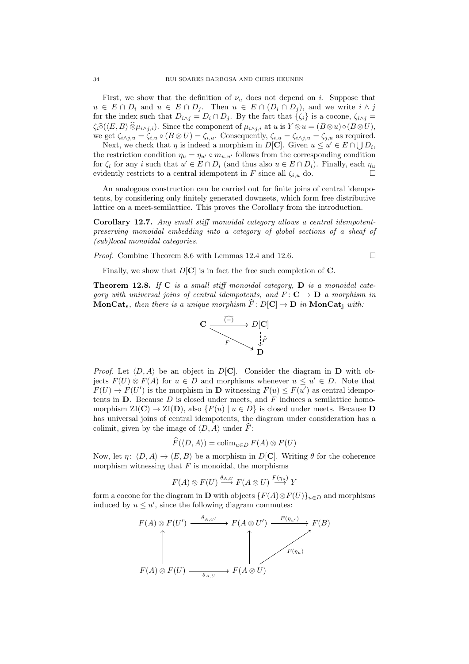First, we show that the definition of  $\nu_u$  does not depend on i. Suppose that  $u \in E \cap D_i$  and  $u \in E \cap D_j$ . Then  $u \in E \cap (D_i \cap D_j)$ , and we write  $i \wedge j$ for the index such that  $D_{i\wedge j} = D_i \cap D_j$ . By the fact that  $\{\zeta_i\}$  is a cocone,  $\zeta_{i\wedge j} =$  $\zeta_i\widehat{\circ}(\langle E, B \rangle \widehat{\otimes} \mu_{i \wedge j,i}).$  Since the component of  $\mu_{i \wedge j,i}$  at u is  $Y \otimes u = (B \otimes u) \circ (B \otimes U),$ we get  $\zeta_{i\wedge j,u} = \zeta_{i,u} \circ (B \otimes U) = \zeta_{i,u}$ . Consequently,  $\zeta_{i,u} = \zeta_{i\wedge j,u} = \zeta_{j,u}$  as required.

Next, we check that  $\eta$  is indeed a morphism in D[C]. Given  $u \leq u' \in E \cap \bigcup D_i$ , the restriction condition  $\eta_u = \eta_{u'} \circ m_{u,u'}$  follows from the corresponding condition for  $\zeta_i$  for any i such that  $u' \in E \cap D_i$  (and thus also  $u \in E \cap D_i$ ). Finally, each  $\eta_u$ evidently restricts to a central idempotent in F since all  $\zeta_{i,u}$  do.

An analogous construction can be carried out for finite joins of central idempotents, by considering only finitely generated downsets, which form free distributive lattice on a meet-semilattice. This proves the Corollary from the introduction.

<span id="page-33-0"></span>Corollary 12.7. Any small stiff monoidal category allows a central idempotentpreserving monoidal embedding into a category of global sections of a sheaf of (sub)local monoidal categories.

Proof. Combine Theorem [8.6](#page-21-1) with Lemmas [12.4](#page-31-1) and [12.6.](#page-32-0)

$$
\Box
$$

Finally, we show that  $D[\mathbf{C}]$  is in fact the free such completion of  $\mathbf{C}$ .

**Theorem 12.8.** If  $C$  is a small stiff monoidal category,  $D$  is a monoidal category with universal joins of central idempotents, and  $F: \mathbf{C} \to \mathbf{D}$  a morphism in **MonCat**<sub>s</sub>, then there is a unique morphism  $F: D[C] \to D$  in **MonCat**<sub>i</sub> with:



*Proof.* Let  $\langle D, A \rangle$  be an object in  $D[\mathbf{C}]$ . Consider the diagram in D with objects  $F(U) \otimes F(A)$  for  $u \in D$  and morphisms whenever  $u \leq u' \in D$ . Note that  $F(U) \to F(U')$  is the morphism in **D** witnessing  $F(u) \leq F(u')$  as central idempotents in **. Because**  $D$  **is closed under meets, and**  $F$  **induces a semilattice homo**morphism  $ZI(C) \to ZI(D)$ , also  $\{F(u) \mid u \in D\}$  is closed under meets. Because D has universal joins of central idempotents, the diagram under consideration has a colimit, given by the image of  $\langle D, A \rangle$  under  $\widehat{F}$ :

$$
\widehat{F}(\langle D, A \rangle) = \operatorname{colim}_{u \in D} F(A) \otimes F(U)
$$

Now, let  $\eta$ :  $\langle D, A \rangle \rightarrow \langle E, B \rangle$  be a morphism in D[C]. Writing  $\theta$  for the coherence morphism witnessing that  $F$  is monoidal, the morphisms

$$
F(A) \otimes F(U) \stackrel{\theta_{A,U}}{\longrightarrow} F(A \otimes U) \stackrel{F(\eta_u)}{\longrightarrow} Y
$$

form a cocone for the diagram in **D** with objects  $\{F(A) \otimes F(U)\}_{u \in D}$  and morphisms induced by  $u \leq u'$ , since the following diagram commutes:

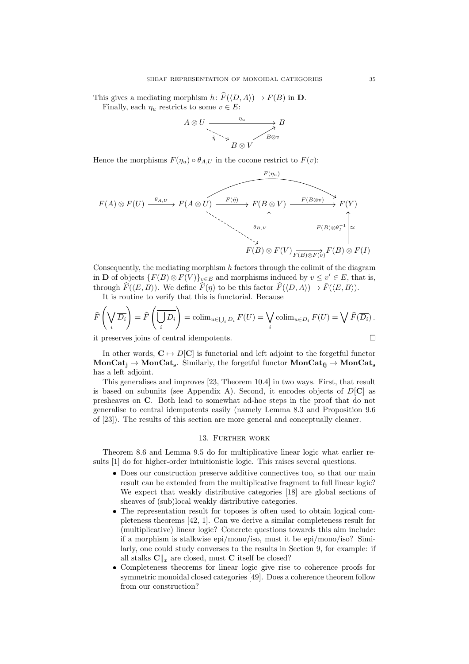This gives a mediating morphism  $h: \widehat{F}(\langle D, A \rangle) \to F(B)$  in **D**. Finally, each  $\eta_u$  restricts to some  $v \in E$ :

$$
A \otimes U \xrightarrow{\eta_u} B
$$
  

$$
\overrightarrow{\eta} \searrow B \otimes V
$$
  

$$
B \otimes V
$$

 $\frac{1}{2}$  ( $\frac{1}{2}$ )

Hence the morphisms  $F(\eta_u) \circ \theta_{A,U}$  in the cocone restrict to  $F(v)$ :

$$
F(A) \otimes F(U) \xrightarrow{\theta_{A,U}} F(A \otimes U) \xrightarrow{F(\tilde{\eta})} F(B \otimes V) \xrightarrow{F(B \otimes v)} F(Y)
$$
  

$$
\xrightarrow{\theta_{B,V}} F(B) \otimes F(V) \xrightarrow{F(B) \otimes F(v)} F(B) \otimes F(I)
$$

Consequently, the mediating morphism h factors through the colimit of the diagram in **D** of objects  $\{F(B) \otimes F(V)\}_{v \in E}$  and morphisms induced by  $v \leq v' \in E$ , that is, through  $F(\langle E, B \rangle)$ . We define  $F(\eta)$  to be this factor  $F(\langle D, A \rangle) \to F(\langle E, B \rangle)$ .

It is routine to verify that this is functorial. Because

$$
\widehat{F}\left(\bigvee_{i}\overline{D_{i}}\right) = \widehat{F}\left(\overline{\bigcup_{i}D_{i}}\right) = \operatorname{colim}_{u \in \bigcup_{i}D_{i}}F(U) = \bigvee_{i} \operatorname{colim}_{u \in D_{i}}F(U) = \bigvee_{i}\widehat{F}(\overline{D_{i}}).
$$
\nit measures is in of central idempotents.

it preserves joins of central idempotents.

In other words,  $C \mapsto D[C]$  is functorial and left adjoint to the forgetful functor  $MonCat_i \rightarrow MonCat_s$ . Similarly, the forgetful functor  $MonCat_{fi} \rightarrow MonCat_s$ has a left adjoint.

This generalises and improves [\[23,](#page-36-3) Theorem 10.4] in two ways. First, that result is based on subunits (see Appendix [A\)](#page-37-0). Second, it encodes objects of  $D[\mathbf{C}]$  as presheaves on C. Both lead to somewhat ad-hoc steps in the proof that do not generalise to central idempotents easily (namely Lemma 8.3 and Proposition 9.6 of [\[23\]](#page-36-3)). The results of this section are more general and conceptually cleaner.

# 13. Further work

<span id="page-34-0"></span>Theorem [8.6](#page-21-1) and Lemma [9.5](#page-23-2) do for multiplicative linear logic what earlier results [\[1\]](#page-35-0) do for higher-order intuitionistic logic. This raises several questions.

- Does our construction preserve additive connectives too, so that our main result can be extended from the multiplicative fragment to full linear logic? We expect that weakly distributive categories [\[18\]](#page-36-29) are global sections of sheaves of (sub)local weakly distributive categories.
- The representation result for toposes is often used to obtain logical completeness theorems [\[42,](#page-36-1) [1\]](#page-35-0). Can we derive a similar completeness result for (multiplicative) linear logic? Concrete questions towards this aim include: if a morphism is stalkwise epi/mono/iso, must it be epi/mono/iso? Similarly, one could study converses to the results in Section [9,](#page-21-0) for example: if all stalks  $\mathbf{C}\Vert_x$  are closed, must C itself be closed?
- Completeness theorems for linear logic give rise to coherence proofs for symmetric monoidal closed categories [\[49\]](#page-37-3). Does a coherence theorem follow from our construction?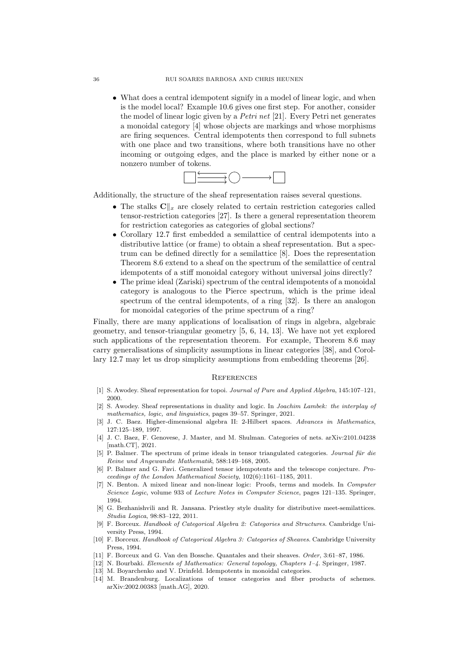#### 36 RUI SOARES BARBOSA AND CHRIS HEUNEN

• What does a central idempotent signify in a model of linear logic, and when is the model local? Example [10.6](#page-26-0) gives one first step. For another, consider the model of linear logic given by a Petri net [\[21\]](#page-36-30). Every Petri net generates a monoidal category [\[4\]](#page-35-8) whose objects are markings and whose morphisms are firing sequences. Central idempotents then correspond to full subnets with one place and two transitions, where both transitions have no other incoming or outgoing edges, and the place is marked by either none or a nonzero number of tokens.



Additionally, the structure of the sheaf representation raises several questions.

- The stalks  $\mathbf{C}\|_{x}$  are closely related to certain restriction categories called tensor-restriction categories [\[27\]](#page-36-31). Is there a general representation theorem for restriction categories as categories of global sections?
- Corollary [12.7](#page-33-0) first embedded a semilattice of central idempotents into a distributive lattice (or frame) to obtain a sheaf representation. But a spectrum can be defined directly for a semilattice [\[8\]](#page-35-9). Does the representation Theorem [8.6](#page-21-1) extend to a sheaf on the spectrum of the semilattice of central idempotents of a stiff monoidal category without universal joins directly?
- The prime ideal (Zariski) spectrum of the central idempotents of a monoidal category is analogous to the Pierce spectrum, which is the prime ideal spectrum of the central idempotents, of a ring [\[32\]](#page-36-4). Is there an analogon for monoidal categories of the prime spectrum of a ring?

Finally, there are many applications of localisation of rings in algebra, algebraic geometry, and tensor-triangular geometry [\[5,](#page-35-10) [6,](#page-35-11) [14,](#page-35-12) [13\]](#page-35-13). We have not yet explored such applications of the representation theorem. For example, Theorem [8.6](#page-21-1) may carry generalisations of simplicity assumptions in linear categories [\[38\]](#page-36-32), and Corollary [12.7](#page-33-0) may let us drop simplicity assumptions from embedding theorems [\[26\]](#page-36-16).

## **REFERENCES**

- <span id="page-35-0"></span>[1] S. Awodey. Sheaf representation for topoi. Journal of Pure and Applied Algebra, 145:107-121, 2000.
- <span id="page-35-1"></span>[2] S. Awodey. Sheaf representations in duality and logic. In Joachim Lambek: the interplay of mathematics, logic, and linguistics, pages 39–57. Springer, 2021.
- <span id="page-35-2"></span>[3] J. C. Baez. Higher-dimensional algebra II: 2-Hilbert spaces. Advances in Mathematics, 127:125–189, 1997.
- <span id="page-35-8"></span>[4] J. C. Baez, F. Genovese, J. Master, and M. Shulman. Categories of nets. arXiv:2101.04238 [math.CT], 2021.
- <span id="page-35-10"></span>[5] P. Balmer. The spectrum of prime ideals in tensor triangulated categories. Journal für die Reine und Angewandte Mathematik, 588:149–168, 2005.
- <span id="page-35-11"></span>[6] P. Balmer and G. Favi. Generalized tensor idempotents and the telescope conjecture. Proceedings of the London Mathematical Society, 102(6):1161–1185, 2011.
- <span id="page-35-6"></span>[7] N. Benton. A mixed linear and non-linear logic: Proofs, terms and models. In Computer Science Logic, volume 933 of Lecture Notes in Computer Science, pages 121–135. Springer, 1994.
- <span id="page-35-9"></span>[8] G. Bezhanishvili and R. Jansana. Priestley style duality for distributive meet-semilattices. Studia Logica, 98:83–122, 2011.
- <span id="page-35-4"></span>[9] F. Borceux. Handbook of Categorical Algebra 2: Categories and Structures. Cambridge University Press, 1994.
- <span id="page-35-3"></span>[10] F. Borceux. Handbook of Categorical Algebra 3: Categories of Sheaves. Cambridge University Press, 1994.
- <span id="page-35-7"></span>[11] F. Borceux and G. Van den Bossche. Quantales and their sheaves. Order, 3:61–87, 1986.
- <span id="page-35-5"></span>[12] N. Bourbaki. Elements of Mathematics: General topology, Chapters 1–4. Springer, 1987.
- <span id="page-35-13"></span>[13] M. Boyarchenko and V. Drinfeld. Idempotents in monoidal categories.
- <span id="page-35-12"></span>[14] M. Brandenburg. Localizations of tensor categories and fiber products of schemes. arXiv:2002.00383 [math.AG], 2020.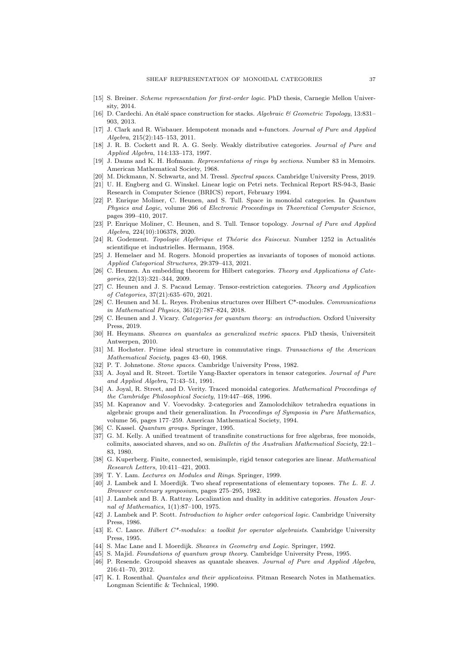- <span id="page-36-28"></span>[15] S. Breiner. Scheme representation for first-order logic. PhD thesis, Carnegie Mellon University, 2014.
- <span id="page-36-27"></span>[16] D. Cardechi. An étalé space construction for stacks. Algebraic & Geometric Topology, 13:831– 903, 2013.
- <span id="page-36-17"></span>[17] J. Clark and R. Wisbauer. Idempotent monads and ∗-functors. Journal of Pure and Applied Algebra, 215(2):145–153, 2011.
- <span id="page-36-29"></span>[18] J. R. B. Cockett and R. A. G. Seely. Weakly distributive categories. Journal of Pure and Applied Algebra, 114:133–173, 1997.
- <span id="page-36-5"></span>[19] J. Dauns and K. H. Hofmann. Representations of rings by sections. Number 83 in Memoirs. American Mathematical Society, 1968.
- <span id="page-36-20"></span>[20] M. Dickmann, N. Schwartz, and M. Tressl. Spectral spaces. Cambridge University Press, 2019.
- <span id="page-36-30"></span>[21] U. H. Engberg and G. Winskel. Linear logic on Petri nets. Technical Report RS-94-3, Basic Research in Computer Science (BRICS) report, February 1994.
- <span id="page-36-9"></span>[22] P. Enrique Moliner, C. Heunen, and S. Tull. Space in monoidal categories. In Quantum Physics and Logic, volume 266 of Electronic Proceedings in Theoretical Computer Science, pages 399–410, 2017.
- <span id="page-36-3"></span>[23] P. Enrique Moliner, C. Heunen, and S. Tull. Tensor topology. *Journal of Pure and Applied* Algebra, 224(10):106378, 2020.
- <span id="page-36-25"></span>[24] R. Godement. Topologie Algébrique et Théorie des Faisceux. Number 1252 in Actualités scientifique et industrielles. Hermann, 1958.
- <span id="page-36-22"></span>[25] J. Hemelaer and M. Rogers. Monoid properties as invariants of toposes of monoid actions. Applied Categorical Structures, 29:379–413, 2021.
- <span id="page-36-16"></span>[26] C. Heunen. An embedding theorem for Hilbert categories. Theory and Applications of Categories, 22(13):321–344, 2009.
- <span id="page-36-31"></span>[27] C. Heunen and J. S. Pacaud Lemay. Tensor-restriction categories. Theory and Application of Categories, 37(21):635–670, 2021.
- <span id="page-36-7"></span>[28] C. Heunen and M. L. Reyes. Frobenius structures over Hilbert C\*-modules. Communications in Mathematical Physics, 361(2):787–824, 2018.
- <span id="page-36-8"></span>[29] C. Heunen and J. Vicary. Categories for quantum theory: an introduction. Oxford University Press, 2019.
- <span id="page-36-24"></span>[30] H. Heymans. Sheaves on quantales as generalized metric spaces. PhD thesis, Universiteit Antwerpen, 2010.
- <span id="page-36-26"></span>[31] M. Hochster. Prime ideal structure in commutative rings. Transactions of the American Mathematical Society, pages 43–60, 1968.
- <span id="page-36-4"></span>[32] P. T. Johnstone. Stone spaces. Cambridge University Press, 1982.
- <span id="page-36-11"></span>[33] A. Joyal and R. Street. Tortile Yang-Baxter operators in tensor categories. Journal of Pure and Applied Algebra, 71:43–51, 1991.
- <span id="page-36-21"></span>[34] A. Joyal, R. Street, and D. Verity. Traced monoidal categories. Mathematical Proceedings of the Cambridge Philosophical Society, 119:447–468, 1996.
- <span id="page-36-6"></span>[35] M. Kapranov and V. Voevodsky. 2-categories and Zamolodchikov tetrahedra equations in algebraic groups and their generalization. In Proceedings of Symposia in Pure Mathematics, volume 56, pages 177–259. American Mathematical Society, 1994.
- <span id="page-36-10"></span>[36] C. Kassel. Quantum groups. Springer, 1995.
- <span id="page-36-19"></span>[37] G. M. Kelly. A unified treatment of transfinite constructions for free algebras, free monoids, colimits, associated shaves, and so on. Bulletin of the Australian Mathematical Society, 22:1– 83, 1980.
- <span id="page-36-32"></span>[38] G. Kuperberg. Finite, connected, semisimple, rigid tensor categories are linear. Mathematical Research Letters, 10:411–421, 2003.
- <span id="page-36-13"></span>[39] T. Y. Lam. Lectures on Modules and Rings. Springer, 1999.
- <span id="page-36-0"></span>[40] J. Lambek and I. Moerdijk. Two sheaf representations of elementary toposes. The L. E. J. Brouwer centenary symposium, pages 275–295, 1982.
- <span id="page-36-18"></span>[41] J. Lambek and B. A. Rattray. Localization and duality in additive categories. Houston Journal of Mathematics, 1(1):87–100, 1975.
- <span id="page-36-1"></span>[42] J. Lambek and P. Scott. Introduction to higher order categorical logic. Cambridge University Press, 1986.
- <span id="page-36-15"></span>[43] E. C. Lance. Hilbert C\*-modules: a toolkit for operator algebraists. Cambridge University Press, 1995.
- <span id="page-36-2"></span>[44] S. Mac Lane and I. Moerdijk. Sheaves in Geometry and Logic. Springer, 1992.
- <span id="page-36-14"></span>[45] S. Majid. Foundations of quantum group theory. Cambridge University Press, 1995.
- <span id="page-36-23"></span>[46] P. Resende. Groupoid sheaves as quantale sheaves. Journal of Pure and Applied Algebra, 216:41–70, 2012.
- <span id="page-36-12"></span>[47] K. I. Rosenthal. *Quantales and their applicatoins*. Pitman Research Notes in Mathematics. Longman Scientific & Technical, 1990.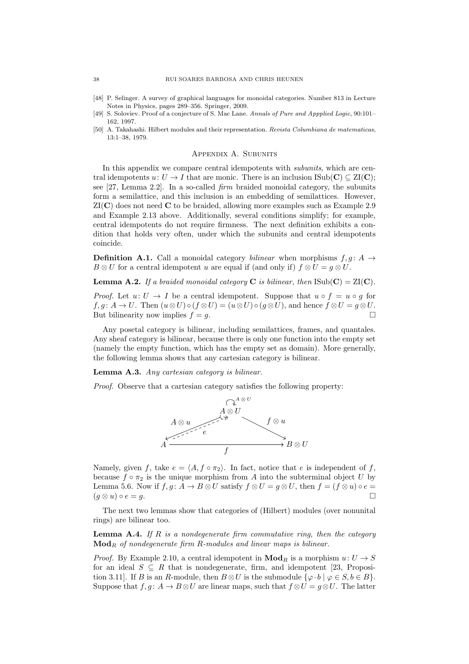- <span id="page-37-1"></span>[48] P. Selinger. A survey of graphical languages for monoidal categories. Number 813 in Lecture Notes in Physics, pages 289–356. Springer, 2009.
- <span id="page-37-3"></span>[49] S. Soloviev. Proof of a conjecture of S. Mac Lane. Annals of Pure and Appplied Logic, 90:101– 162, 1997.
- <span id="page-37-2"></span>[50] A. Takahashi. Hilbert modules and their representation. Revista Columbiana de matematicas, 13:1–38, 1979.

## Appendix A. Subunits

<span id="page-37-0"></span>In this appendix we compare central idempotents with *subunits*, which are central idempotents  $u: U \to I$  that are monic. There is an inclusion ISub(C)  $\subset ZI(C)$ ; see  $[27,$  Lemma 2.2. In a so-called *firm* braided monoidal category, the subunits form a semilattice, and this inclusion is an embedding of semilattices. However,  $ZI(C)$  does not need C to be braided, allowing more examples such as Example [2.9](#page-5-1) and Example [2.13](#page-6-4) above. Additionally, several conditions simplify; for example, central idempotents do not require firmness. The next definition exhibits a condition that holds very often, under which the subunits and central idempotents coincide.

**Definition A.1.** Call a monoidal category *bilinear* when morphisms  $f, g: A \rightarrow$  $B \otimes U$  for a central idempotent u are equal if (and only if)  $f \otimes U = q \otimes U$ .

**Lemma A.2.** If a braided monoidal category **C** is bilinear, then  $\text{ISub}(\mathbf{C}) = \text{ZI}(\mathbf{C})$ .

*Proof.* Let  $u: U \to I$  be a central idempotent. Suppose that  $u \circ f = u \circ g$  for  $f, g \colon A \to U$ . Then  $(u \otimes U) \circ (f \otimes U) = (u \otimes U) \circ (g \otimes U)$ , and hence  $f \otimes U = g \otimes U$ . But bilinearity now implies  $f = g$ .

Any posetal category is bilinear, including semilattices, frames, and quantales. Any sheaf category is bilinear, because there is only one function into the empty set (namely the empty function, which has the empty set as domain). More generally, the following lemma shows that any cartesian category is bilinear.

Lemma A.3. Any cartesian category is bilinear.

Proof. Observe that a cartesian category satisfies the following property:



Namely, given f, take  $e = \langle A, f \circ \pi_2 \rangle$ . In fact, notice that e is independent of f, because  $f \circ \pi_2$  is the unique morphism from A into the subterminal object U by Lemma [5.6.](#page-13-0) Now if  $f, g: A \to B \otimes U$  satisfy  $f \otimes U = g \otimes U$ , then  $f = (f \otimes u) \circ e =$  $(g \otimes u) \circ e = g.$ 

The next two lemmas show that categories of (Hilbert) modules (over nonunital rings) are bilinear too.

**Lemma A.4.** If R is a nondegenerate firm commutative ring, then the category  $\mathbf{Mod}_R$  of nondegenerate firm R-modules and linear maps is bilinear.

*Proof.* By Example [2.10,](#page-6-1) a central idempotent in  $\mathbf{Mod}_R$  is a morphism  $u: U \to S$ for an ideal  $S \subseteq R$  that is nondegenerate, firm, and idempotent [\[23,](#page-36-3) Proposition 3.11]. If B is an R-module, then  $B \otimes U$  is the submodule  $\{\varphi \cdot b \mid \varphi \in S, b \in B\}$ . Suppose that  $f, g: A \to B \otimes U$  are linear maps, such that  $f \otimes U = g \otimes U$ . The latter